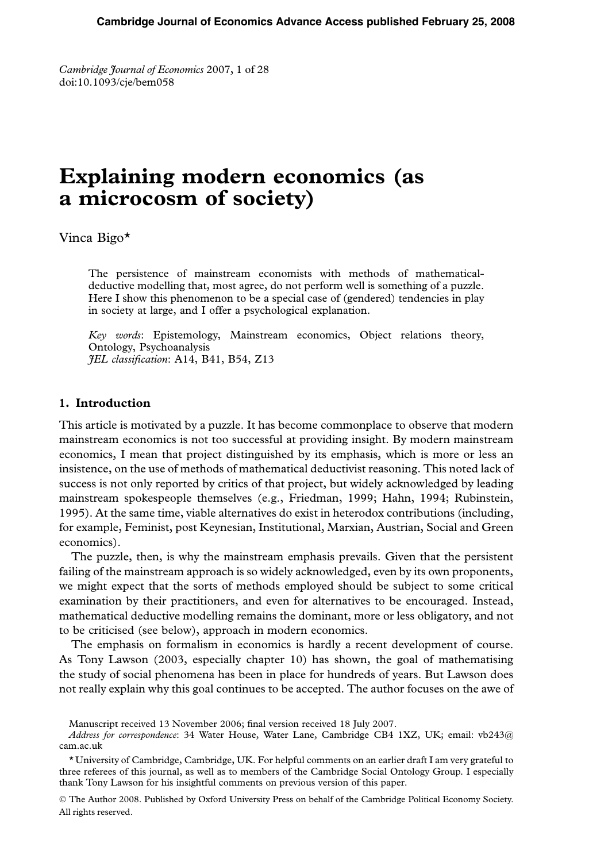Cambridge Journal of Economics 2007, 1 of 28 doi:10.1093/cje/bem058

# Explaining modern economics (as a microcosm of society)

Vinca Bigo\*

The persistence of mainstream economists with methods of mathematicaldeductive modelling that, most agree, do not perform well is something of a puzzle. Here I show this phenomenon to be a special case of (gendered) tendencies in play in society at large, and I offer a psychological explanation.

Key words: Epistemology, Mainstream economics, Object relations theory, Ontology, Psychoanalysis JEL classification: A14, B41, B54, Z13

## 1. Introduction

This article is motivated by a puzzle. It has become commonplace to observe that modern mainstream economics is not too successful at providing insight. By modern mainstream economics, I mean that project distinguished by its emphasis, which is more or less an insistence, on the use of methods of mathematical deductivist reasoning. This noted lack of success is not only reported by critics of that project, but widely acknowledged by leading mainstream spokespeople themselves (e.g., Friedman, 1999; Hahn, 1994; Rubinstein, 1995). At the same time, viable alternatives do exist in heterodox contributions (including, for example, Feminist, post Keynesian, Institutional, Marxian, Austrian, Social and Green economics).

The puzzle, then, is why the mainstream emphasis prevails. Given that the persistent failing of the mainstream approach is so widely acknowledged, even by its own proponents, we might expect that the sorts of methods employed should be subject to some critical examination by their practitioners, and even for alternatives to be encouraged. Instead, mathematical deductive modelling remains the dominant, more or less obligatory, and not to be criticised (see below), approach in modern economics.

The emphasis on formalism in economics is hardly a recent development of course. As Tony Lawson (2003, especially chapter 10) has shown, the goal of mathematising the study of social phenomena has been in place for hundreds of years. But Lawson does not really explain why this goal continues to be accepted. The author focuses on the awe of

Manuscript received 13 November 2006; final version received 18 July 2007.

Address for correspondence: 34 Water House, Water Lane, Cambridge CB4 1XZ, UK; email: vb243@ cam.ac.uk

\* University of Cambridge, Cambridge, UK. For helpful comments on an earlier draft I am very grateful to three referees of this journal, as well as to members of the Cambridge Social Ontology Group. I especially thank Tony Lawson for his insightful comments on previous version of this paper.

! The Author 2008. Published by Oxford University Press on behalf of the Cambridge Political Economy Society. All rights reserved.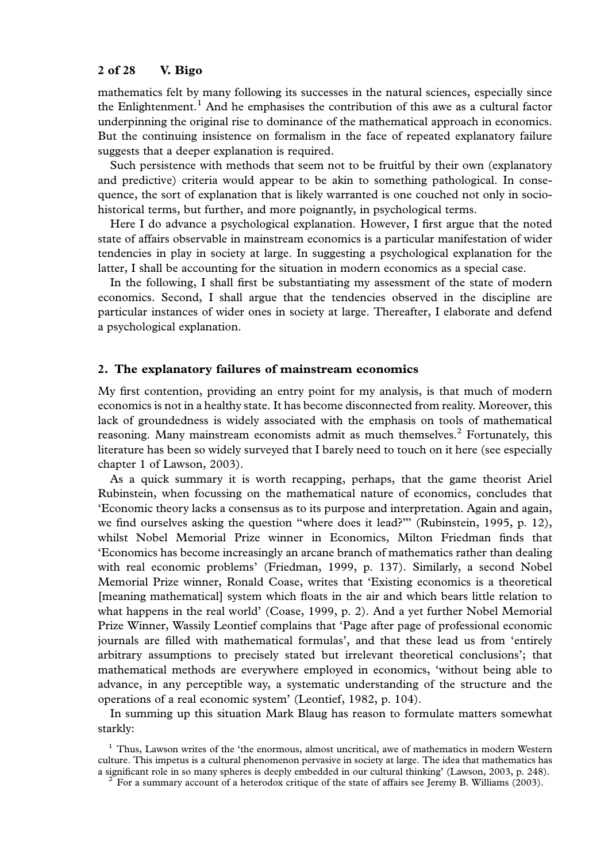mathematics felt by many following its successes in the natural sciences, especially since the Enlightenment.<sup>1</sup> And he emphasises the contribution of this awe as a cultural factor underpinning the original rise to dominance of the mathematical approach in economics. But the continuing insistence on formalism in the face of repeated explanatory failure suggests that a deeper explanation is required.

Such persistence with methods that seem not to be fruitful by their own (explanatory and predictive) criteria would appear to be akin to something pathological. In consequence, the sort of explanation that is likely warranted is one couched not only in sociohistorical terms, but further, and more poignantly, in psychological terms.

Here I do advance a psychological explanation. However, I first argue that the noted state of affairs observable in mainstream economics is a particular manifestation of wider tendencies in play in society at large. In suggesting a psychological explanation for the latter, I shall be accounting for the situation in modern economics as a special case.

In the following, I shall first be substantiating my assessment of the state of modern economics. Second, I shall argue that the tendencies observed in the discipline are particular instances of wider ones in society at large. Thereafter, I elaborate and defend a psychological explanation.

#### 2. The explanatory failures of mainstream economics

My first contention, providing an entry point for my analysis, is that much of modern economics is not in a healthy state. It has become disconnected from reality. Moreover, this lack of groundedness is widely associated with the emphasis on tools of mathematical reasoning. Many mainstream economists admit as much themselves.<sup>2</sup> Fortunately, this literature has been so widely surveyed that I barely need to touch on it here (see especially chapter 1 of Lawson, 2003).

As a quick summary it is worth recapping, perhaps, that the game theorist Ariel Rubinstein, when focussing on the mathematical nature of economics, concludes that 'Economic theory lacks a consensus as to its purpose and interpretation. Again and again, we find ourselves asking the question "where does it lead?" (Rubinstein, 1995, p. 12), whilst Nobel Memorial Prize winner in Economics, Milton Friedman finds that 'Economics has become increasingly an arcane branch of mathematics rather than dealing with real economic problems' (Friedman, 1999, p. 137). Similarly, a second Nobel Memorial Prize winner, Ronald Coase, writes that 'Existing economics is a theoretical [meaning mathematical] system which floats in the air and which bears little relation to what happens in the real world' (Coase, 1999, p. 2). And a yet further Nobel Memorial Prize Winner, Wassily Leontief complains that 'Page after page of professional economic journals are filled with mathematical formulas', and that these lead us from 'entirely arbitrary assumptions to precisely stated but irrelevant theoretical conclusions'; that mathematical methods are everywhere employed in economics, 'without being able to advance, in any perceptible way, a systematic understanding of the structure and the operations of a real economic system' (Leontief, 1982, p. 104).

In summing up this situation Mark Blaug has reason to formulate matters somewhat starkly:

<sup>1</sup> Thus, Lawson writes of the 'the enormous, almost uncritical, awe of mathematics in modern Western culture. This impetus is a cultural phenomenon pervasive in society at large. The idea that mathematics has a significant role in so many spheres is deeply embedded in our cultural thinking' (Lawson, 2003, p. 248). <sup>2</sup> For a summary account of a heterodox critique of the state of affairs see Jeremy B. Williams (2003).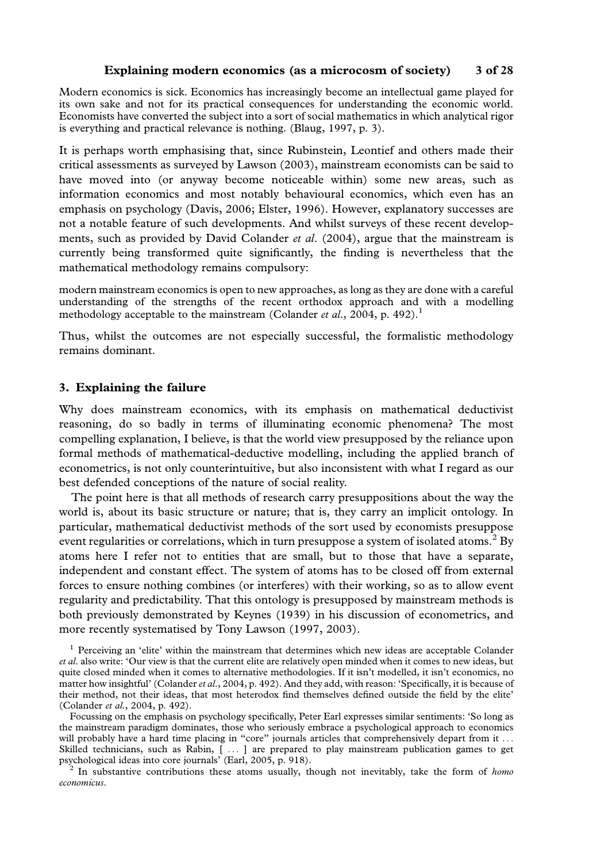#### Explaining modern economics (as a microcosm of society) 3 of 28

Modern economics is sick. Economics has increasingly become an intellectual game played for its own sake and not for its practical consequences for understanding the economic world. Economists have converted the subject into a sort of social mathematics in which analytical rigor is everything and practical relevance is nothing. (Blaug, 1997, p. 3).

It is perhaps worth emphasising that, since Rubinstein, Leontief and others made their critical assessments as surveyed by Lawson (2003), mainstream economists can be said to have moved into (or anyway become noticeable within) some new areas, such as information economics and most notably behavioural economics, which even has an emphasis on psychology (Davis, 2006; Elster, 1996). However, explanatory successes are not a notable feature of such developments. And whilst surveys of these recent developments, such as provided by David Colander *et al.* (2004), argue that the mainstream is currently being transformed quite significantly, the finding is nevertheless that the mathematical methodology remains compulsory:

modern mainstream economics is open to new approaches, as long as they are done with a careful understanding of the strengths of the recent orthodox approach and with a modelling methodology acceptable to the mainstream (Colander et al., 2004, p. 492).<sup>1</sup>

Thus, whilst the outcomes are not especially successful, the formalistic methodology remains dominant.

#### 3. Explaining the failure

Why does mainstream economics, with its emphasis on mathematical deductivist reasoning, do so badly in terms of illuminating economic phenomena? The most compelling explanation, I believe, is that the world view presupposed by the reliance upon formal methods of mathematical-deductive modelling, including the applied branch of econometrics, is not only counterintuitive, but also inconsistent with what I regard as our best defended conceptions of the nature of social reality.

The point here is that all methods of research carry presuppositions about the way the world is, about its basic structure or nature; that is, they carry an implicit ontology. In particular, mathematical deductivist methods of the sort used by economists presuppose event regularities or correlations, which in turn presuppose a system of isolated atoms.<sup>2</sup> By atoms here I refer not to entities that are small, but to those that have a separate, independent and constant effect. The system of atoms has to be closed off from external forces to ensure nothing combines (or interferes) with their working, so as to allow event regularity and predictability. That this ontology is presupposed by mainstream methods is both previously demonstrated by Keynes (1939) in his discussion of econometrics, and more recently systematised by Tony Lawson (1997, 2003).

 $<sup>1</sup>$  Perceiving an 'elite' within the mainstream that determines which new ideas are acceptable Colander</sup> et al. also write: 'Our view is that the current elite are relatively open minded when it comes to new ideas, but quite closed minded when it comes to alternative methodologies. If it isn't modelled, it isn't economics, no matter how insightful' (Colander et al., 2004, p. 492). And they add, with reason: 'Specifically, it is because of their method, not their ideas, that most heterodox find themselves defined outside the field by the elite' (Colander et al., 2004, p. 492).

Focussing on the emphasis on psychology specifically, Peter Earl expresses similar sentiments: 'So long as the mainstream paradigm dominates, those who seriously embrace a psychological approach to economics will probably have a hard time placing in "core" journals articles that comprehensively depart from it ... Skilled technicians, such as Rabin, [ ... ] are prepared to play mainstream publication games to get

psychological ideas into core journals' (Earl, 2005, p. 918).<br><sup>2</sup> In substantive contributions these atoms usually, though not inevitably, take the form of *homo* economicus.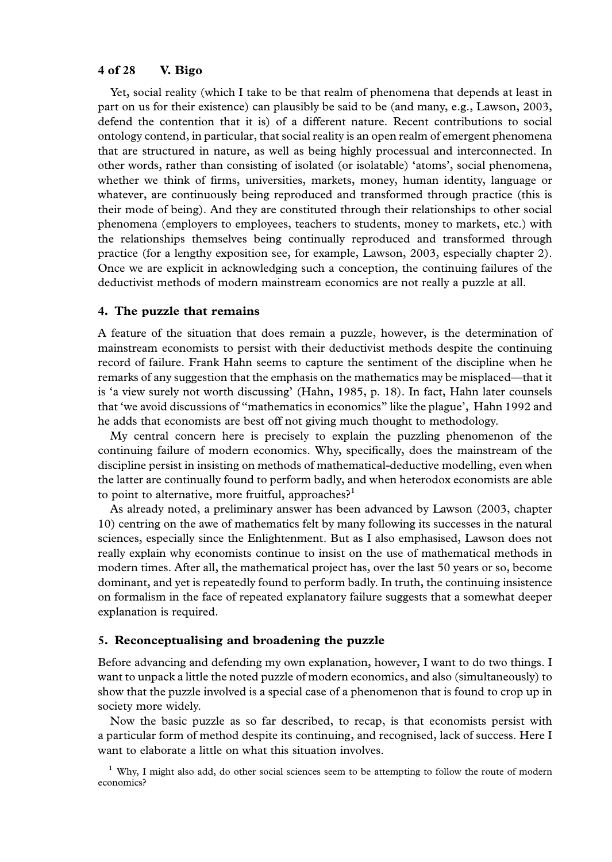Yet, social reality (which I take to be that realm of phenomena that depends at least in part on us for their existence) can plausibly be said to be (and many, e.g., Lawson, 2003, defend the contention that it is) of a different nature. Recent contributions to social ontology contend, in particular, that social reality is an open realm of emergent phenomena that are structured in nature, as well as being highly processual and interconnected. In other words, rather than consisting of isolated (or isolatable) 'atoms', social phenomena, whether we think of firms, universities, markets, money, human identity, language or whatever, are continuously being reproduced and transformed through practice (this is their mode of being). And they are constituted through their relationships to other social phenomena (employers to employees, teachers to students, money to markets, etc.) with the relationships themselves being continually reproduced and transformed through practice (for a lengthy exposition see, for example, Lawson, 2003, especially chapter 2). Once we are explicit in acknowledging such a conception, the continuing failures of the deductivist methods of modern mainstream economics are not really a puzzle at all.

## 4. The puzzle that remains

A feature of the situation that does remain a puzzle, however, is the determination of mainstream economists to persist with their deductivist methods despite the continuing record of failure. Frank Hahn seems to capture the sentiment of the discipline when he remarks of any suggestion that the emphasis on the mathematics may be misplaced—that it is 'a view surely not worth discussing' (Hahn, 1985, p. 18). In fact, Hahn later counsels that 'we avoid discussions of ''mathematics in economics'' like the plague', Hahn 1992 and he adds that economists are best off not giving much thought to methodology.

My central concern here is precisely to explain the puzzling phenomenon of the continuing failure of modern economics. Why, specifically, does the mainstream of the discipline persist in insisting on methods of mathematical-deductive modelling, even when the latter are continually found to perform badly, and when heterodox economists are able to point to alternative, more fruitful, approaches? $1$ 

As already noted, a preliminary answer has been advanced by Lawson (2003, chapter 10) centring on the awe of mathematics felt by many following its successes in the natural sciences, especially since the Enlightenment. But as I also emphasised, Lawson does not really explain why economists continue to insist on the use of mathematical methods in modern times. After all, the mathematical project has, over the last 50 years or so, become dominant, and yet is repeatedly found to perform badly. In truth, the continuing insistence on formalism in the face of repeated explanatory failure suggests that a somewhat deeper explanation is required.

### 5. Reconceptualising and broadening the puzzle

Before advancing and defending my own explanation, however, I want to do two things. I want to unpack a little the noted puzzle of modern economics, and also (simultaneously) to show that the puzzle involved is a special case of a phenomenon that is found to crop up in society more widely.

Now the basic puzzle as so far described, to recap, is that economists persist with a particular form of method despite its continuing, and recognised, lack of success. Here I want to elaborate a little on what this situation involves.

<sup>1</sup> Why, I might also add, do other social sciences seem to be attempting to follow the route of modern economics?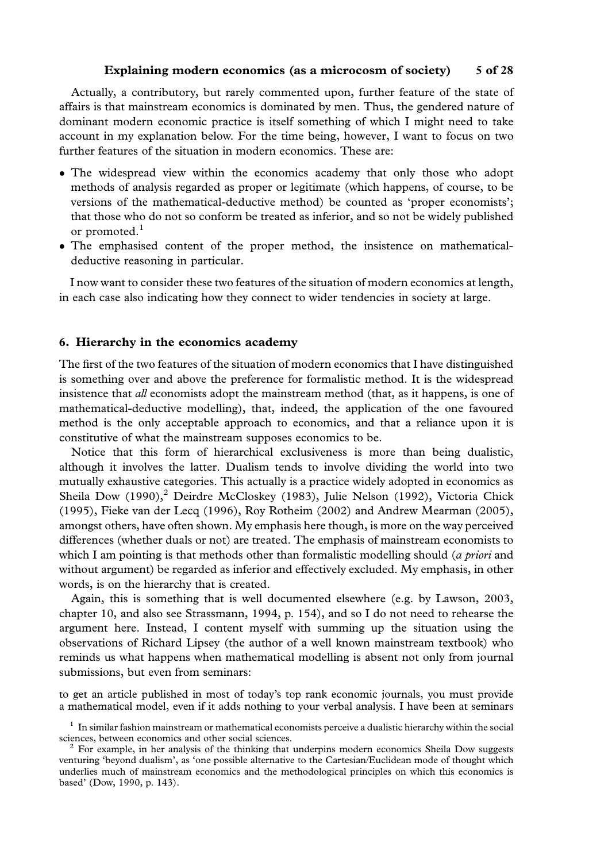#### Explaining modern economics (as a microcosm of society) 5 of 28

Actually, a contributory, but rarely commented upon, further feature of the state of affairs is that mainstream economics is dominated by men. Thus, the gendered nature of dominant modern economic practice is itself something of which I might need to take account in my explanation below. For the time being, however, I want to focus on two further features of the situation in modern economics. These are:

- ! The widespread view within the economics academy that only those who adopt methods of analysis regarded as proper or legitimate (which happens, of course, to be versions of the mathematical-deductive method) be counted as 'proper economists'; that those who do not so conform be treated as inferior, and so not be widely published or promoted.<sup>1</sup>
- ! The emphasised content of the proper method, the insistence on mathematicaldeductive reasoning in particular.

I now want to consider these two features of the situation of modern economics at length, in each case also indicating how they connect to wider tendencies in society at large.

# 6. Hierarchy in the economics academy

The first of the two features of the situation of modern economics that I have distinguished is something over and above the preference for formalistic method. It is the widespread insistence that *all* economists adopt the mainstream method (that, as it happens, is one of mathematical-deductive modelling), that, indeed, the application of the one favoured method is the only acceptable approach to economics, and that a reliance upon it is constitutive of what the mainstream supposes economics to be.

Notice that this form of hierarchical exclusiveness is more than being dualistic, although it involves the latter. Dualism tends to involve dividing the world into two mutually exhaustive categories. This actually is a practice widely adopted in economics as Sheila Dow  $(1990)$ ,<sup>2</sup> Deirdre McCloskey (1983), Julie Nelson (1992), Victoria Chick (1995), Fieke van der Lecq (1996), Roy Rotheim (2002) and Andrew Mearman (2005), amongst others, have often shown. My emphasis here though, is more on the way perceived differences (whether duals or not) are treated. The emphasis of mainstream economists to which I am pointing is that methods other than formalistic modelling should (a priori and without argument) be regarded as inferior and effectively excluded. My emphasis, in other words, is on the hierarchy that is created.

Again, this is something that is well documented elsewhere (e.g. by Lawson, 2003, chapter 10, and also see Strassmann, 1994, p. 154), and so I do not need to rehearse the argument here. Instead, I content myself with summing up the situation using the observations of Richard Lipsey (the author of a well known mainstream textbook) who reminds us what happens when mathematical modelling is absent not only from journal submissions, but even from seminars:

to get an article published in most of today's top rank economic journals, you must provide a mathematical model, even if it adds nothing to your verbal analysis. I have been at seminars

 $1$  In similar fashion mainstream or mathematical economists perceive a dualistic hierarchy within the social sciences, between economics and other social sciences.

<sup>&</sup>lt;sup>2</sup> For example, in her analysis of the thinking that underpins modern economics Sheila Dow suggests venturing 'beyond dualism', as 'one possible alternative to the Cartesian/Euclidean mode of thought which underlies much of mainstream economics and the methodological principles on which this economics is based' (Dow, 1990, p. 143).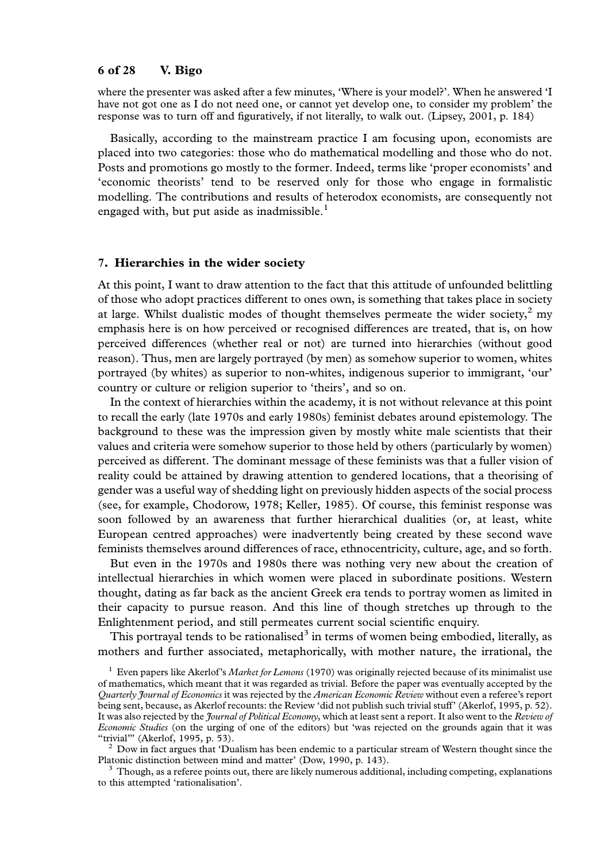where the presenter was asked after a few minutes, 'Where is your model?'. When he answered 'I have not got one as I do not need one, or cannot yet develop one, to consider my problem' the response was to turn off and figuratively, if not literally, to walk out. (Lipsey, 2001, p. 184)

Basically, according to the mainstream practice I am focusing upon, economists are placed into two categories: those who do mathematical modelling and those who do not. Posts and promotions go mostly to the former. Indeed, terms like 'proper economists' and 'economic theorists' tend to be reserved only for those who engage in formalistic modelling. The contributions and results of heterodox economists, are consequently not engaged with, but put aside as inadmissible. $<sup>1</sup>$ </sup>

#### 7. Hierarchies in the wider society

At this point, I want to draw attention to the fact that this attitude of unfounded belittling of those who adopt practices different to ones own, is something that takes place in society at large. Whilst dualistic modes of thought themselves permeate the wider society, $\frac{2}{3}$  my emphasis here is on how perceived or recognised differences are treated, that is, on how perceived differences (whether real or not) are turned into hierarchies (without good reason). Thus, men are largely portrayed (by men) as somehow superior to women, whites portrayed (by whites) as superior to non-whites, indigenous superior to immigrant, 'our' country or culture or religion superior to 'theirs', and so on.

In the context of hierarchies within the academy, it is not without relevance at this point to recall the early (late 1970s and early 1980s) feminist debates around epistemology. The background to these was the impression given by mostly white male scientists that their values and criteria were somehow superior to those held by others (particularly by women) perceived as different. The dominant message of these feminists was that a fuller vision of reality could be attained by drawing attention to gendered locations, that a theorising of gender was a useful way of shedding light on previously hidden aspects of the social process (see, for example, Chodorow, 1978; Keller, 1985). Of course, this feminist response was soon followed by an awareness that further hierarchical dualities (or, at least, white European centred approaches) were inadvertently being created by these second wave feminists themselves around differences of race, ethnocentricity, culture, age, and so forth.

But even in the 1970s and 1980s there was nothing very new about the creation of intellectual hierarchies in which women were placed in subordinate positions. Western thought, dating as far back as the ancient Greek era tends to portray women as limited in their capacity to pursue reason. And this line of though stretches up through to the Enlightenment period, and still permeates current social scientific enquiry.

This portrayal tends to be rationalised<sup>3</sup> in terms of women being embodied, literally, as mothers and further associated, metaphorically, with mother nature, the irrational, the

<sup>1</sup> Even papers like Akerlof's *Market for Lemons* (1970) was originally rejected because of its minimalist use of mathematics, which meant that it was regarded as trivial. Before the paper was eventually accepted by the Quarterly Journal of Economics it was rejected by the American Economic Review without even a referee's report being sent, because, as Akerlof recounts: the Review 'did not publish such trivial stuff' (Akerlof, 1995, p. 52). It was also rejected by the *Journal of Political Economy*, which at least sent a report. It also went to the *Review of* Economic Studies (on the urging of one of the editors) but 'was rejected on the grounds again that it was "trivial" (Akerlof, 1995, p. 53).

 $\frac{2}{\pi}$  Dow in fact argues that 'Dualism has been endemic to a particular stream of Western thought since the Platonic distinction between mind and matter' (Dow, 1990, p. 143).

 $^3$  Though, as a referee points out, there are likely numerous additional, including competing, explanations to this attempted 'rationalisation'.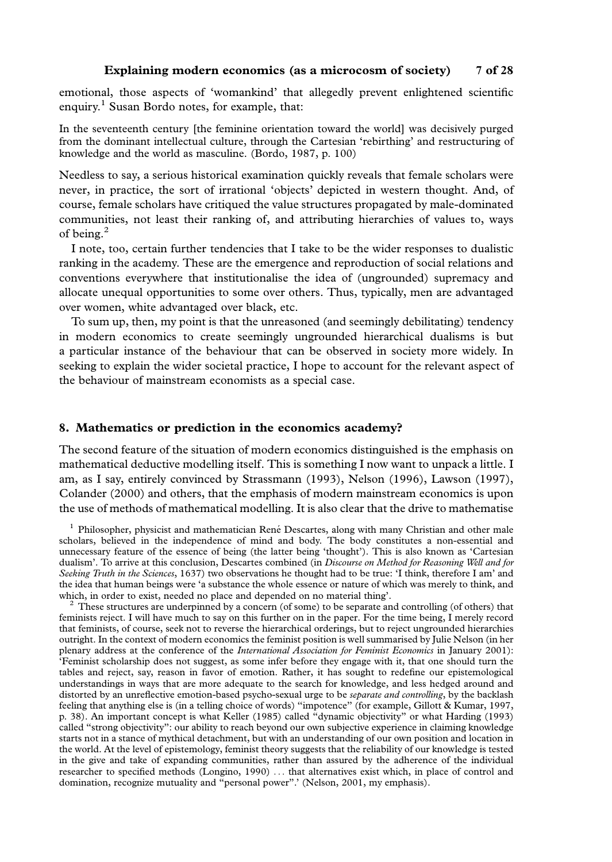emotional, those aspects of 'womankind' that allegedly prevent enlightened scientific enquiry.<sup>1</sup> Susan Bordo notes, for example, that:

In the seventeenth century [the feminine orientation toward the world] was decisively purged from the dominant intellectual culture, through the Cartesian 'rebirthing' and restructuring of knowledge and the world as masculine. (Bordo, 1987, p. 100)

Needless to say, a serious historical examination quickly reveals that female scholars were never, in practice, the sort of irrational 'objects' depicted in western thought. And, of course, female scholars have critiqued the value structures propagated by male-dominated communities, not least their ranking of, and attributing hierarchies of values to, ways of being.<sup>2</sup>

I note, too, certain further tendencies that I take to be the wider responses to dualistic ranking in the academy. These are the emergence and reproduction of social relations and conventions everywhere that institutionalise the idea of (ungrounded) supremacy and allocate unequal opportunities to some over others. Thus, typically, men are advantaged over women, white advantaged over black, etc.

To sum up, then, my point is that the unreasoned (and seemingly debilitating) tendency in modern economics to create seemingly ungrounded hierarchical dualisms is but a particular instance of the behaviour that can be observed in society more widely. In seeking to explain the wider societal practice, I hope to account for the relevant aspect of the behaviour of mainstream economists as a special case.

#### 8. Mathematics or prediction in the economics academy?

The second feature of the situation of modern economics distinguished is the emphasis on mathematical deductive modelling itself. This is something I now want to unpack a little. I am, as I say, entirely convinced by Strassmann (1993), Nelson (1996), Lawson (1997), Colander (2000) and others, that the emphasis of modern mainstream economics is upon the use of methods of mathematical modelling. It is also clear that the drive to mathematise

 $1$  Philosopher, physicist and mathematician René Descartes, along with many Christian and other male scholars, believed in the independence of mind and body. The body constitutes a non-essential and unnecessary feature of the essence of being (the latter being 'thought'). This is also known as 'Cartesian dualism'. To arrive at this conclusion, Descartes combined (in Discourse on Method for Reasoning Well and for Seeking Truth in the Sciences, 1637) two observations he thought had to be true: 'I think, therefore I am' and the idea that human beings were 'a substance the whole essence or nature of which was merely to think, and which, in order to exist, needed no place and depended on no material thing'.

<sup>2</sup> These structures are underpinned by a concern (of some) to be separate and controlling (of others) that feminists reject. I will have much to say on this further on in the paper. For the time being, I merely record that feminists, of course, seek not to reverse the hierarchical orderings, but to reject ungrounded hierarchies outright. In the context of modern economics the feminist position is well summarised by Julie Nelson (in her plenary address at the conference of the International Association for Feminist Economics in January 2001): 'Feminist scholarship does not suggest, as some infer before they engage with it, that one should turn the tables and reject, say, reason in favor of emotion. Rather, it has sought to redefine our epistemological understandings in ways that are more adequate to the search for knowledge, and less hedged around and distorted by an unreflective emotion-based psycho-sexual urge to be *separate and controlling*, by the backlash feeling that anything else is (in a telling choice of words) ''impotence'' (for example, Gillott & Kumar, 1997, p. 38). An important concept is what Keller (1985) called ''dynamic objectivity'' or what Harding (1993) called ''strong objectivity'': our ability to reach beyond our own subjective experience in claiming knowledge starts not in a stance of mythical detachment, but with an understanding of our own position and location in the world. At the level of epistemology, feminist theory suggests that the reliability of our knowledge is tested in the give and take of expanding communities, rather than assured by the adherence of the individual researcher to specified methods (Longino, 1990) ... that alternatives exist which, in place of control and domination, recognize mutuality and ''personal power''.' (Nelson, 2001, my emphasis).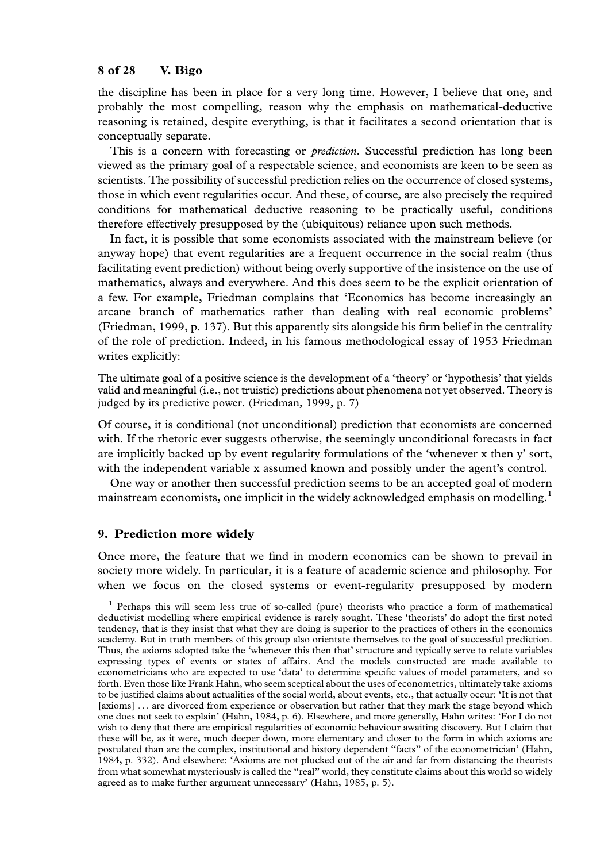the discipline has been in place for a very long time. However, I believe that one, and probably the most compelling, reason why the emphasis on mathematical-deductive reasoning is retained, despite everything, is that it facilitates a second orientation that is conceptually separate.

This is a concern with forecasting or *prediction*. Successful prediction has long been viewed as the primary goal of a respectable science, and economists are keen to be seen as scientists. The possibility of successful prediction relies on the occurrence of closed systems, those in which event regularities occur. And these, of course, are also precisely the required conditions for mathematical deductive reasoning to be practically useful, conditions therefore effectively presupposed by the (ubiquitous) reliance upon such methods.

In fact, it is possible that some economists associated with the mainstream believe (or anyway hope) that event regularities are a frequent occurrence in the social realm (thus facilitating event prediction) without being overly supportive of the insistence on the use of mathematics, always and everywhere. And this does seem to be the explicit orientation of a few. For example, Friedman complains that 'Economics has become increasingly an arcane branch of mathematics rather than dealing with real economic problems' (Friedman, 1999, p. 137). But this apparently sits alongside his firm belief in the centrality of the role of prediction. Indeed, in his famous methodological essay of 1953 Friedman writes explicitly:

The ultimate goal of a positive science is the development of a 'theory' or 'hypothesis' that yields valid and meaningful (i.e., not truistic) predictions about phenomena not yet observed. Theory is judged by its predictive power. (Friedman, 1999, p. 7)

Of course, it is conditional (not unconditional) prediction that economists are concerned with. If the rhetoric ever suggests otherwise, the seemingly unconditional forecasts in fact are implicitly backed up by event regularity formulations of the 'whenever x then y' sort, with the independent variable x assumed known and possibly under the agent's control.

One way or another then successful prediction seems to be an accepted goal of modern mainstream economists, one implicit in the widely acknowledged emphasis on modelling.<sup>1</sup>

#### 9. Prediction more widely

Once more, the feature that we find in modern economics can be shown to prevail in society more widely. In particular, it is a feature of academic science and philosophy. For when we focus on the closed systems or event-regularity presupposed by modern

<sup>1</sup> Perhaps this will seem less true of so-called (pure) theorists who practice a form of mathematical deductivist modelling where empirical evidence is rarely sought. These 'theorists' do adopt the first noted tendency, that is they insist that what they are doing is superior to the practices of others in the economics academy. But in truth members of this group also orientate themselves to the goal of successful prediction. Thus, the axioms adopted take the 'whenever this then that' structure and typically serve to relate variables expressing types of events or states of affairs. And the models constructed are made available to econometricians who are expected to use 'data' to determine specific values of model parameters, and so forth. Even those like Frank Hahn, who seem sceptical about the uses of econometrics, ultimately take axioms to be justified claims about actualities of the social world, about events, etc., that actually occur: 'It is not that [axioms] . . . are divorced from experience or observation but rather that they mark the stage beyond which one does not seek to explain' (Hahn, 1984, p. 6). Elsewhere, and more generally, Hahn writes: 'For I do not wish to deny that there are empirical regularities of economic behaviour awaiting discovery. But I claim that these will be, as it were, much deeper down, more elementary and closer to the form in which axioms are postulated than are the complex, institutional and history dependent ''facts'' of the econometrician' (Hahn, 1984, p. 332). And elsewhere: 'Axioms are not plucked out of the air and far from distancing the theorists from what somewhat mysteriously is called the "real" world, they constitute claims about this world so widely agreed as to make further argument unnecessary' (Hahn, 1985, p. 5).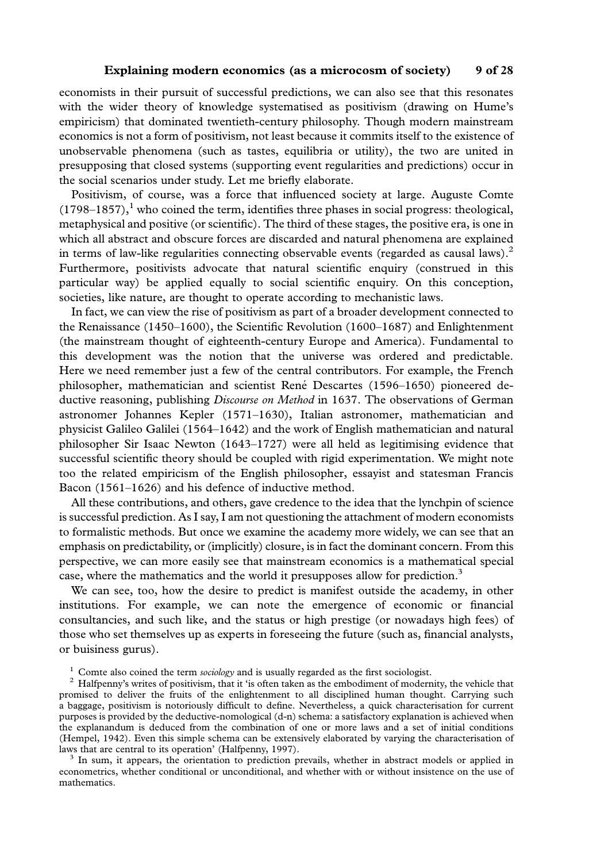#### Explaining modern economics (as a microcosm of society) 9 of 28

economists in their pursuit of successful predictions, we can also see that this resonates with the wider theory of knowledge systematised as positivism (drawing on Hume's empiricism) that dominated twentieth-century philosophy. Though modern mainstream economics is not a form of positivism, not least because it commits itself to the existence of unobservable phenomena (such as tastes, equilibria or utility), the two are united in presupposing that closed systems (supporting event regularities and predictions) occur in the social scenarios under study. Let me briefly elaborate.

Positivism, of course, was a force that influenced society at large. Auguste Comte  $(1798-1857)$ ,<sup>1</sup> who coined the term, identifies three phases in social progress: theological, metaphysical and positive (or scientific). The third of these stages, the positive era, is one in which all abstract and obscure forces are discarded and natural phenomena are explained in terms of law-like regularities connecting observable events (regarded as causal laws). $2$ Furthermore, positivists advocate that natural scientific enquiry (construed in this particular way) be applied equally to social scientific enquiry. On this conception, societies, like nature, are thought to operate according to mechanistic laws.

In fact, we can view the rise of positivism as part of a broader development connected to the Renaissance (1450–1600), the Scientific Revolution (1600–1687) and Enlightenment (the mainstream thought of eighteenth-century Europe and America). Fundamental to this development was the notion that the universe was ordered and predictable. Here we need remember just a few of the central contributors. For example, the French philosopher, mathematician and scientist René Descartes (1596–1650) pioneered deductive reasoning, publishing *Discourse on Method* in 1637. The observations of German astronomer Johannes Kepler (1571–1630), Italian astronomer, mathematician and physicist Galileo Galilei (1564–1642) and the work of English mathematician and natural philosopher Sir Isaac Newton (1643–1727) were all held as legitimising evidence that successful scientific theory should be coupled with rigid experimentation. We might note too the related empiricism of the English philosopher, essayist and statesman Francis Bacon (1561–1626) and his defence of inductive method.

All these contributions, and others, gave credence to the idea that the lynchpin of science is successful prediction. As I say, I am not questioning the attachment of modern economists to formalistic methods. But once we examine the academy more widely, we can see that an emphasis on predictability, or (implicitly) closure, is in fact the dominant concern. From this perspective, we can more easily see that mainstream economics is a mathematical special case, where the mathematics and the world it presupposes allow for prediction.<sup>3</sup>

We can see, too, how the desire to predict is manifest outside the academy, in other institutions. For example, we can note the emergence of economic or financial consultancies, and such like, and the status or high prestige (or nowadays high fees) of those who set themselves up as experts in foreseeing the future (such as, financial analysts, or buisiness gurus).

<sup>1</sup> Comte also coined the term *sociology* and is usually regarded as the first sociologist.<br><sup>2</sup> Halfpenny's writes of positivism, that it 'is often taken as the embodiment of modernity, the vehicle that promised to deliver the fruits of the enlightenment to all disciplined human thought. Carrying such a baggage, positivism is notoriously difficult to define. Nevertheless, a quick characterisation for current purposes is provided by the deductive-nomological (d-n) schema: a satisfactory explanation is achieved when the explanandum is deduced from the combination of one or more laws and a set of initial conditions (Hempel, 1942). Even this simple schema can be extensively elaborated by varying the characterisation of laws that are central to its operation' (Halfpenny, 1997).<br><sup>3</sup> In sum, it appears, the orientation to prediction prevails, whether in abstract models or applied in

econometrics, whether conditional or unconditional, and whether with or without insistence on the use of mathematics.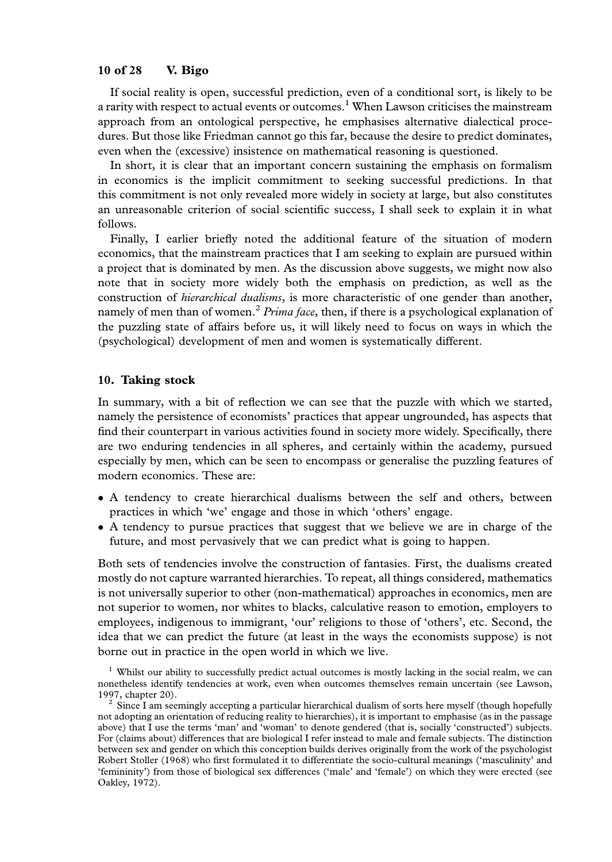If social reality is open, successful prediction, even of a conditional sort, is likely to be a rarity with respect to actual events or outcomes.<sup>1</sup> When Lawson criticises the mainstream approach from an ontological perspective, he emphasises alternative dialectical procedures. But those like Friedman cannot go this far, because the desire to predict dominates, even when the (excessive) insistence on mathematical reasoning is questioned.

In short, it is clear that an important concern sustaining the emphasis on formalism in economics is the implicit commitment to seeking successful predictions. In that this commitment is not only revealed more widely in society at large, but also constitutes an unreasonable criterion of social scientific success, I shall seek to explain it in what follows.

Finally, I earlier briefly noted the additional feature of the situation of modern economics, that the mainstream practices that I am seeking to explain are pursued within a project that is dominated by men. As the discussion above suggests, we might now also note that in society more widely both the emphasis on prediction, as well as the construction of *hierarchical dualisms*, is more characteristic of one gender than another, namely of men than of women.<sup>2</sup> Prima face, then, if there is a psychological explanation of the puzzling state of affairs before us, it will likely need to focus on ways in which the (psychological) development of men and women is systematically different.

#### 10. Taking stock

In summary, with a bit of reflection we can see that the puzzle with which we started, namely the persistence of economists' practices that appear ungrounded, has aspects that find their counterpart in various activities found in society more widely. Specifically, there are two enduring tendencies in all spheres, and certainly within the academy, pursued especially by men, which can be seen to encompass or generalise the puzzling features of modern economics. These are:

- ! A tendency to create hierarchical dualisms between the self and others, between practices in which 'we' engage and those in which 'others' engage.
- ! A tendency to pursue practices that suggest that we believe we are in charge of the future, and most pervasively that we can predict what is going to happen.

Both sets of tendencies involve the construction of fantasies. First, the dualisms created mostly do not capture warranted hierarchies. To repeat, all things considered, mathematics is not universally superior to other (non-mathematical) approaches in economics, men are not superior to women, nor whites to blacks, calculative reason to emotion, employers to employees, indigenous to immigrant, 'our' religions to those of 'others', etc. Second, the idea that we can predict the future (at least in the ways the economists suppose) is not borne out in practice in the open world in which we live.

<sup>&</sup>lt;sup>1</sup> Whilst our ability to successfully predict actual outcomes is mostly lacking in the social realm, we can nonetheless identify tendencies at work, even when outcomes themselves remain uncertain (see Lawson,

<sup>1997,</sup> chapter 20).<br><sup>2</sup> Since I am seemingly accepting a particular hierarchical dualism of sorts here myself (though hopefully not adopting an orientation of reducing reality to hierarchies), it is important to emphasise (as in the passage above) that I use the terms 'man' and 'woman' to denote gendered (that is, socially 'constructed') subjects. For (claims about) differences that are biological I refer instead to male and female subjects. The distinction between sex and gender on which this conception builds derives originally from the work of the psychologist Robert Stoller (1968) who first formulated it to differentiate the socio-cultural meanings ('masculinity' and 'femininity') from those of biological sex differences ('male' and 'female') on which they were erected (see Oakley, 1972).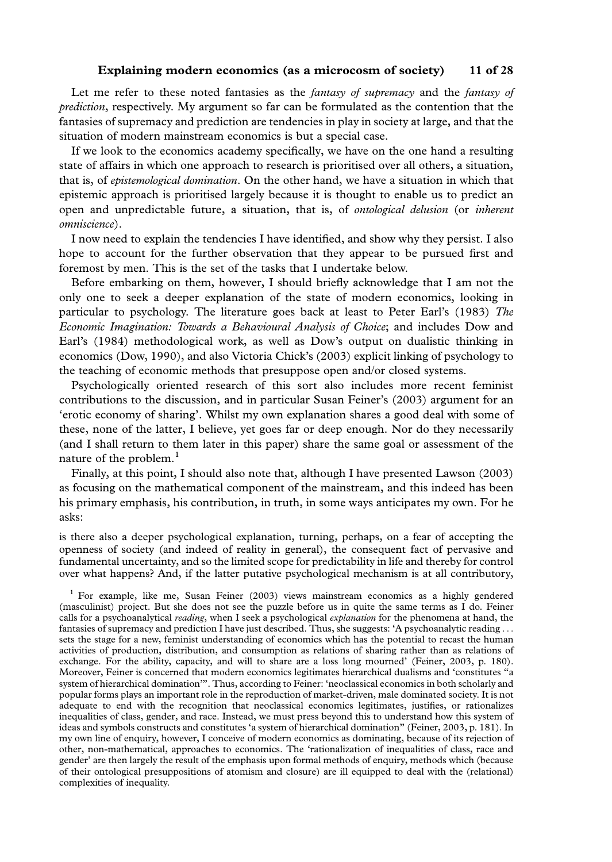#### Explaining modern economics (as a microcosm of society) 11 of 28

Let me refer to these noted fantasies as the *fantasy of supremacy* and the *fantasy of* prediction, respectively. My argument so far can be formulated as the contention that the fantasies of supremacy and prediction are tendencies in play in society at large, and that the situation of modern mainstream economics is but a special case.

If we look to the economics academy specifically, we have on the one hand a resulting state of affairs in which one approach to research is prioritised over all others, a situation, that is, of epistemological domination. On the other hand, we have a situation in which that epistemic approach is prioritised largely because it is thought to enable us to predict an open and unpredictable future, a situation, that is, of ontological delusion (or inherent omniscience).

I now need to explain the tendencies I have identified, and show why they persist. I also hope to account for the further observation that they appear to be pursued first and foremost by men. This is the set of the tasks that I undertake below.

Before embarking on them, however, I should briefly acknowledge that I am not the only one to seek a deeper explanation of the state of modern economics, looking in particular to psychology. The literature goes back at least to Peter Earl's (1983) The Economic Imagination: Towards a Behavioural Analysis of Choice; and includes Dow and Earl's (1984) methodological work, as well as Dow's output on dualistic thinking in economics (Dow, 1990), and also Victoria Chick's (2003) explicit linking of psychology to the teaching of economic methods that presuppose open and/or closed systems.

Psychologically oriented research of this sort also includes more recent feminist contributions to the discussion, and in particular Susan Feiner's (2003) argument for an 'erotic economy of sharing'. Whilst my own explanation shares a good deal with some of these, none of the latter, I believe, yet goes far or deep enough. Nor do they necessarily (and I shall return to them later in this paper) share the same goal or assessment of the nature of the problem. $<sup>1</sup>$ </sup>

Finally, at this point, I should also note that, although I have presented Lawson (2003) as focusing on the mathematical component of the mainstream, and this indeed has been his primary emphasis, his contribution, in truth, in some ways anticipates my own. For he asks:

is there also a deeper psychological explanation, turning, perhaps, on a fear of accepting the openness of society (and indeed of reality in general), the consequent fact of pervasive and fundamental uncertainty, and so the limited scope for predictability in life and thereby for control over what happens? And, if the latter putative psychological mechanism is at all contributory,

<sup>1</sup> For example, like me, Susan Feiner (2003) views mainstream economics as a highly gendered (masculinist) project. But she does not see the puzzle before us in quite the same terms as I do. Feiner calls for a psychoanalytical *reading*, when I seek a psychological explanation for the phenomena at hand, the fantasies of supremacy and prediction I have just described. Thus, she suggests: 'A psychoanalytic reading . . . sets the stage for a new, feminist understanding of economics which has the potential to recast the human activities of production, distribution, and consumption as relations of sharing rather than as relations of exchange. For the ability, capacity, and will to share are a loss long mourned' (Feiner, 2003, p. 180). Moreover, Feiner is concerned that modern economics legitimates hierarchical dualisms and 'constitutes ''a system of hierarchical domination'''. Thus, according to Feiner: 'neoclassical economics in both scholarly and popular forms plays an important role in the reproduction of market-driven, male dominated society. It is not adequate to end with the recognition that neoclassical economics legitimates, justifies, or rationalizes inequalities of class, gender, and race. Instead, we must press beyond this to understand how this system of ideas and symbols constructs and constitutes 'a system of hierarchical domination'' (Feiner, 2003, p. 181). In my own line of enquiry, however, I conceive of modern economics as dominating, because of its rejection of other, non-mathematical, approaches to economics. The 'rationalization of inequalities of class, race and gender' are then largely the result of the emphasis upon formal methods of enquiry, methods which (because of their ontological presuppositions of atomism and closure) are ill equipped to deal with the (relational) complexities of inequality.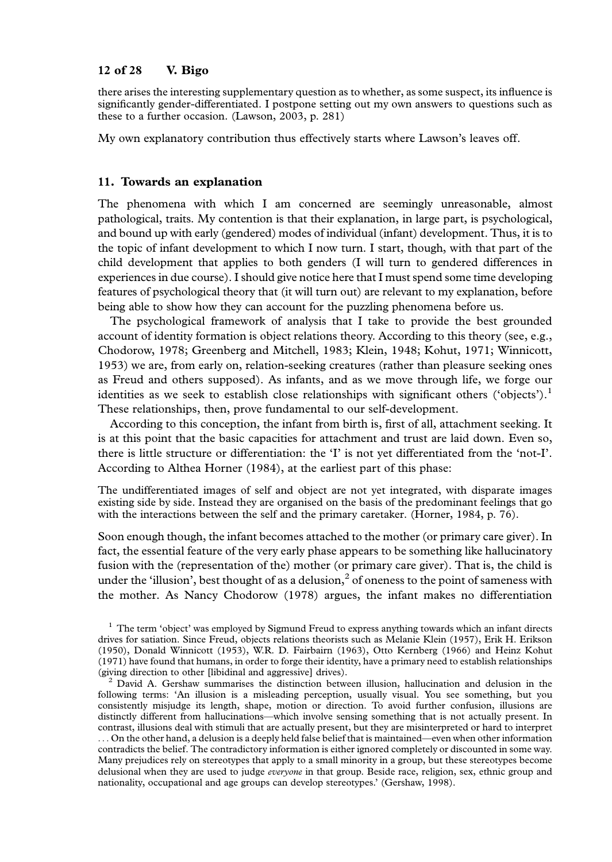there arises the interesting supplementary question as to whether, as some suspect, its influence is significantly gender-differentiated. I postpone setting out my own answers to questions such as these to a further occasion. (Lawson, 2003, p. 281)

My own explanatory contribution thus effectively starts where Lawson's leaves off.

#### 11. Towards an explanation

The phenomena with which I am concerned are seemingly unreasonable, almost pathological, traits. My contention is that their explanation, in large part, is psychological, and bound up with early (gendered) modes of individual (infant) development. Thus, it is to the topic of infant development to which I now turn. I start, though, with that part of the child development that applies to both genders (I will turn to gendered differences in experiences in due course). I should give notice here that I must spend some time developing features of psychological theory that (it will turn out) are relevant to my explanation, before being able to show how they can account for the puzzling phenomena before us.

The psychological framework of analysis that I take to provide the best grounded account of identity formation is object relations theory. According to this theory (see, e.g., Chodorow, 1978; Greenberg and Mitchell, 1983; Klein, 1948; Kohut, 1971; Winnicott, 1953) we are, from early on, relation-seeking creatures (rather than pleasure seeking ones as Freud and others supposed). As infants, and as we move through life, we forge our identities as we seek to establish close relationships with significant others ('objects'). These relationships, then, prove fundamental to our self-development.

According to this conception, the infant from birth is, first of all, attachment seeking. It is at this point that the basic capacities for attachment and trust are laid down. Even so, there is little structure or differentiation: the 'I' is not yet differentiated from the 'not-I'. According to Althea Horner (1984), at the earliest part of this phase:

The undifferentiated images of self and object are not yet integrated, with disparate images existing side by side. Instead they are organised on the basis of the predominant feelings that go with the interactions between the self and the primary caretaker. (Horner, 1984, p. 76).

Soon enough though, the infant becomes attached to the mother (or primary care giver). In fact, the essential feature of the very early phase appears to be something like hallucinatory fusion with the (representation of the) mother (or primary care giver). That is, the child is under the 'illusion', best thought of as a delusion,<sup>2</sup> of oneness to the point of sameness with the mother. As Nancy Chodorow (1978) argues, the infant makes no differentiation

 $<sup>1</sup>$  The term 'object' was employed by Sigmund Freud to express anything towards which an infant directs</sup> drives for satiation. Since Freud, objects relations theorists such as Melanie Klein (1957), Erik H. Erikson (1950), Donald Winnicott (1953), W.R. D. Fairbairn (1963), Otto Kernberg (1966) and Heinz Kohut (1971) have found that humans, in order to forge their identity, have a primary need to establish relationships (giving direction to other [libidinal and aggressive] drives).

 $2$  David A. Gershaw summarises the distinction between illusion, hallucination and delusion in the following terms: 'An illusion is a misleading perception, usually visual. You see something, but you consistently misjudge its length, shape, motion or direction. To avoid further confusion, illusions are distinctly different from hallucinations—which involve sensing something that is not actually present. In contrast, illusions deal with stimuli that are actually present, but they are misinterpreted or hard to interpret . . . On the other hand, a delusion is a deeply held false belief that is maintained—even when other information contradicts the belief. The contradictory information is either ignored completely or discounted in some way. Many prejudices rely on stereotypes that apply to a small minority in a group, but these stereotypes become delusional when they are used to judge *everyone* in that group. Beside race, religion, sex, ethnic group and nationality, occupational and age groups can develop stereotypes.' (Gershaw, 1998).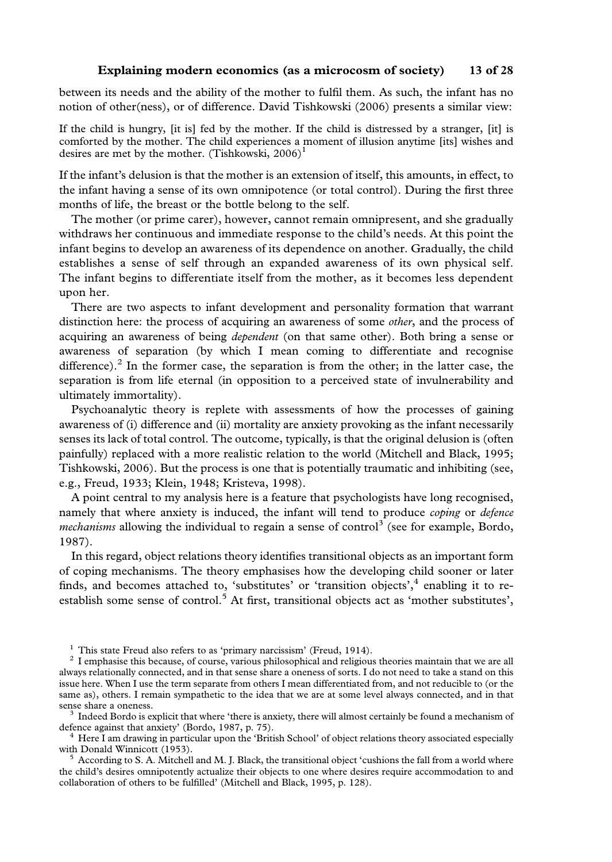#### Explaining modern economics (as a microcosm of society) 13 of 28

between its needs and the ability of the mother to fulfil them. As such, the infant has no notion of other(ness), or of difference. David Tishkowski (2006) presents a similar view:

If the child is hungry, [it is] fed by the mother. If the child is distressed by a stranger, [it] is comforted by the mother. The child experiences a moment of illusion anytime [its] wishes and desires are met by the mother. (Tishkowski,  $2006$ )<sup>1</sup>

If the infant's delusion is that the mother is an extension of itself, this amounts, in effect, to the infant having a sense of its own omnipotence (or total control). During the first three months of life, the breast or the bottle belong to the self.

The mother (or prime carer), however, cannot remain omnipresent, and she gradually withdraws her continuous and immediate response to the child's needs. At this point the infant begins to develop an awareness of its dependence on another. Gradually, the child establishes a sense of self through an expanded awareness of its own physical self. The infant begins to differentiate itself from the mother, as it becomes less dependent upon her.

There are two aspects to infant development and personality formation that warrant distinction here: the process of acquiring an awareness of some *other*, and the process of acquiring an awareness of being dependent (on that same other). Both bring a sense or awareness of separation (by which I mean coming to differentiate and recognise difference).<sup>2</sup> In the former case, the separation is from the other; in the latter case, the separation is from life eternal (in opposition to a perceived state of invulnerability and ultimately immortality).

Psychoanalytic theory is replete with assessments of how the processes of gaining awareness of (i) difference and (ii) mortality are anxiety provoking as the infant necessarily senses its lack of total control. The outcome, typically, is that the original delusion is (often painfully) replaced with a more realistic relation to the world (Mitchell and Black, 1995; Tishkowski, 2006). But the process is one that is potentially traumatic and inhibiting (see, e.g., Freud, 1933; Klein, 1948; Kristeva, 1998).

A point central to my analysis here is a feature that psychologists have long recognised, namely that where anxiety is induced, the infant will tend to produce *coping* or *defence* mechanisms allowing the individual to regain a sense of control<sup>3</sup> (see for example, Bordo, 1987).

In this regard, object relations theory identifies transitional objects as an important form of coping mechanisms. The theory emphasises how the developing child sooner or later finds, and becomes attached to, 'substitutes' or 'transition objects', $4$  enabling it to reestablish some sense of control.<sup>5</sup> At first, transitional objects act as 'mother substitutes',

defence against that anxiety' (Bordo, 1987, p. 75).<br><sup>4</sup> Here I am drawing in particular upon the 'British School' of object relations theory associated especially

with Donald Winnicott (1953).<br><sup>5</sup> According to S. A. Mitchell and M. J. Black, the transitional object 'cushions the fall from a world where

the child's desires omnipotently actualize their objects to one where desires require accommodation to and collaboration of others to be fulfilled' (Mitchell and Black, 1995, p. 128).

<sup>&</sup>lt;sup>1</sup> This state Freud also refers to as 'primary narcissism' (Freud, 1914).<br><sup>2</sup> I emphasise this because, of course, various philosophical and religious theories maintain that we are all always relationally connected, and in that sense share a oneness of sorts. I do not need to take a stand on this issue here. When I use the term separate from others I mean differentiated from, and not reducible to (or the same as), others. I remain sympathetic to the idea that we are at some level always connected, and in that sense share a oneness.<br><sup>3</sup> Indeed Bordo is explicit that where 'there is anxiety, there will almost certainly be found a mechanism of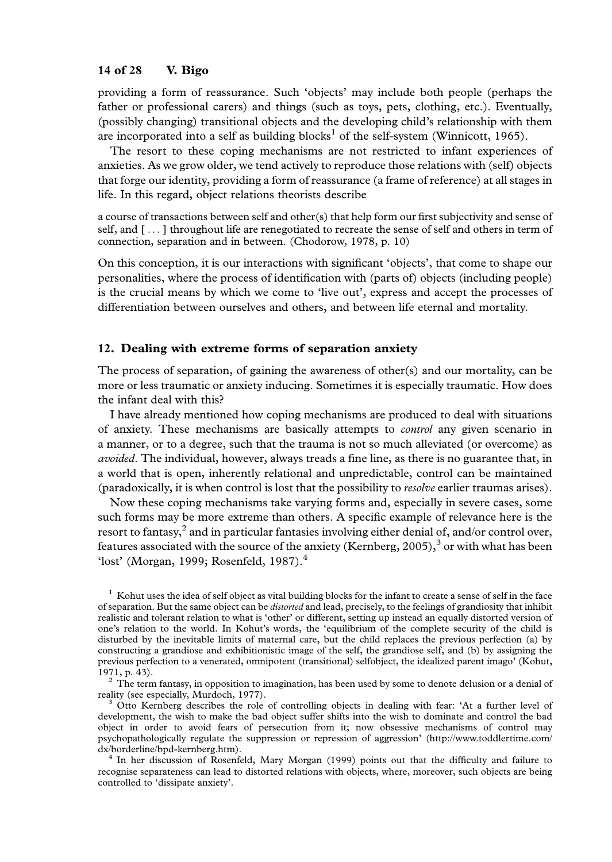providing a form of reassurance. Such 'objects' may include both people (perhaps the father or professional carers) and things (such as toys, pets, clothing, etc.). Eventually, (possibly changing) transitional objects and the developing child's relationship with them are incorporated into a self as building blocks<sup>1</sup> of the self-system (Winnicott, 1965).

The resort to these coping mechanisms are not restricted to infant experiences of anxieties. As we grow older, we tend actively to reproduce those relations with (self) objects that forge our identity, providing a form of reassurance (a frame of reference) at all stages in life. In this regard, object relations theorists describe

a course of transactions between self and other(s) that help form our first subjectivity and sense of self, and [ ... ] throughout life are renegotiated to recreate the sense of self and others in term of connection, separation and in between. (Chodorow, 1978, p. 10)

On this conception, it is our interactions with significant 'objects', that come to shape our personalities, where the process of identification with (parts of) objects (including people) is the crucial means by which we come to 'live out', express and accept the processes of differentiation between ourselves and others, and between life eternal and mortality.

#### 12. Dealing with extreme forms of separation anxiety

The process of separation, of gaining the awareness of other(s) and our mortality, can be more or less traumatic or anxiety inducing. Sometimes it is especially traumatic. How does the infant deal with this?

I have already mentioned how coping mechanisms are produced to deal with situations of anxiety. These mechanisms are basically attempts to control any given scenario in a manner, or to a degree, such that the trauma is not so much alleviated (or overcome) as avoided. The individual, however, always treads a fine line, as there is no guarantee that, in a world that is open, inherently relational and unpredictable, control can be maintained (paradoxically, it is when control is lost that the possibility to *resolve* earlier traumas arises).

Now these coping mechanisms take varying forms and, especially in severe cases, some such forms may be more extreme than others. A specific example of relevance here is the resort to fantasy,<sup>2</sup> and in particular fantasies involving either denial of, and/or control over, features associated with the source of the anxiety (Kernberg, 2005), $3$  or with what has been 'lost' (Morgan, 1999; Rosenfeld, 1987). $<sup>4</sup>$ </sup>

<sup>1</sup> Kohut uses the idea of self object as vital building blocks for the infant to create a sense of self in the face of separation. But the same object can be *distorted* and lead, precisely, to the feelings of grandiosity that inhibit realistic and tolerant relation to what is 'other' or different, setting up instead an equally distorted version of one's relation to the world. In Kohut's words, the 'equilibrium of the complete security of the child is disturbed by the inevitable limits of maternal care, but the child replaces the previous perfection (a) by constructing a grandiose and exhibitionistic image of the self, the grandiose self, and (b) by assigning the previous perfection to a venerated, omnipotent (transitional) selfobject, the idealized parent imago' (Kohut, 1971, p. 43).

 $2\text{°}$  The term fantasy, in opposition to imagination, has been used by some to denote delusion or a denial of reality (see especially, Murdoch, 1977).<br><sup>3</sup> Otto Kernberg describes the role of controlling objects in dealing with fear: 'At a further level of

development, the wish to make the bad object suffer shifts into the wish to dominate and control the bad object in order to avoid fears of persecution from it; now obsessive mechanisms of control may psychopathologically regulate the suppression or repression of aggression' (http://www.toddlertime.com/ dx/borderline/bpd-kernberg.htm). <sup>4</sup> In her discussion of Rosenfeld, Mary Morgan (1999) points out that the difficulty and failure to

recognise separateness can lead to distorted relations with objects, where, moreover, such objects are being controlled to 'dissipate anxiety'.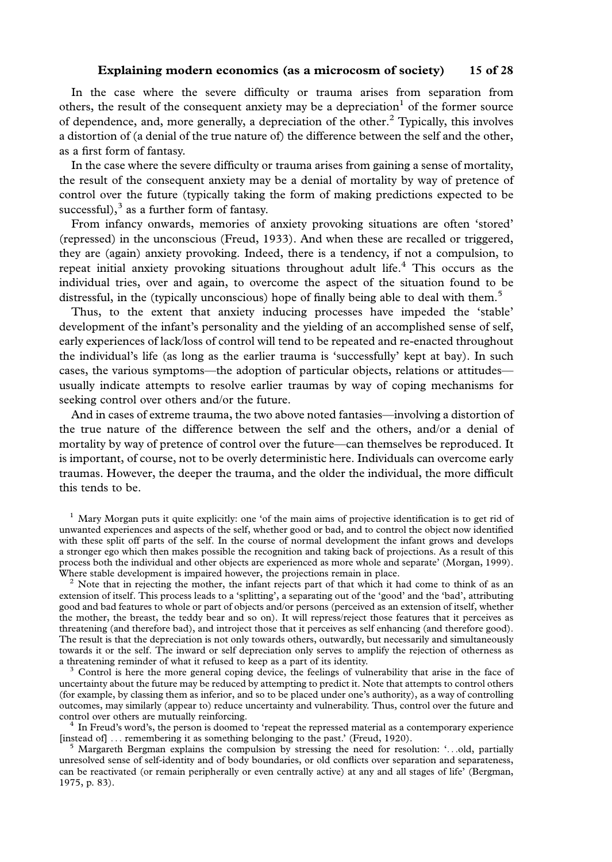#### Explaining modern economics (as a microcosm of society) 15 of 28

In the case where the severe difficulty or trauma arises from separation from others, the result of the consequent anxiety may be a depreciation  $1$  of the former source of dependence, and, more generally, a depreciation of the other.<sup>2</sup> Typically, this involves a distortion of (a denial of the true nature of) the difference between the self and the other, as a first form of fantasy.

In the case where the severe difficulty or trauma arises from gaining a sense of mortality, the result of the consequent anxiety may be a denial of mortality by way of pretence of control over the future (typically taking the form of making predictions expected to be successful), $3$  as a further form of fantasy.

From infancy onwards, memories of anxiety provoking situations are often 'stored' (repressed) in the unconscious (Freud, 1933). And when these are recalled or triggered, they are (again) anxiety provoking. Indeed, there is a tendency, if not a compulsion, to repeat initial anxiety provoking situations throughout adult life.<sup>4</sup> This occurs as the individual tries, over and again, to overcome the aspect of the situation found to be distressful, in the (typically unconscious) hope of finally being able to deal with them.<sup>5</sup>

Thus, to the extent that anxiety inducing processes have impeded the 'stable' development of the infant's personality and the yielding of an accomplished sense of self, early experiences of lack/loss of control will tend to be repeated and re-enacted throughout the individual's life (as long as the earlier trauma is 'successfully' kept at bay). In such cases, the various symptoms—the adoption of particular objects, relations or attitudes usually indicate attempts to resolve earlier traumas by way of coping mechanisms for seeking control over others and/or the future.

And in cases of extreme trauma, the two above noted fantasies—involving a distortion of the true nature of the difference between the self and the others, and/or a denial of mortality by way of pretence of control over the future—can themselves be reproduced. It is important, of course, not to be overly deterministic here. Individuals can overcome early traumas. However, the deeper the trauma, and the older the individual, the more difficult this tends to be.

<sup>1</sup> Mary Morgan puts it quite explicitly: one 'of the main aims of projective identification is to get rid of unwanted experiences and aspects of the self, whether good or bad, and to control the object now identified with these split off parts of the self. In the course of normal development the infant grows and develops a stronger ego which then makes possible the recognition and taking back of projections. As a result of this process both the individual and other objects are experienced as more whole and separate' (Morgan, 1999). Where stable development is impaired however, the projections remain in place.  $\frac{2}{3}$  Note that in rejecting the mother, the infant rejects part of that which it had come to think of as an

extension of itself. This process leads to a 'splitting', a separating out of the 'good' and the 'bad', attributing good and bad features to whole or part of objects and/or persons (perceived as an extension of itself, whether the mother, the breast, the teddy bear and so on). It will repress/reject those features that it perceives as threatening (and therefore bad), and introject those that it perceives as self enhancing (and therefore good). The result is that the depreciation is not only towards others, outwardly, but necessarily and simultaneously towards it or the self. The inward or self depreciation only serves to amplify the rejection of otherness as a threatening reminder of what it refused to keep as a part of its identity.<br><sup>3</sup> Control is here the more general coping device, the feelings of vulnerability that arise in the face of

uncertainty about the future may be reduced by attempting to predict it. Note that attempts to control others (for example, by classing them as inferior, and so to be placed under one's authority), as a way of controlling outcomes, may similarly (appear to) reduce uncertainty and vulnerability. Thus, control over the future and

<sup>4</sup> In Freud's word's, the person is doomed to 'repeat the repressed material as a contemporary experience [instead of] ... remembering it as something belonging to the past.' (Freud, 1920).

Margareth Bergman explains the compulsion by stressing the need for resolution: '...old, partially unresolved sense of self-identity and of body boundaries, or old conflicts over separation and separateness, can be reactivated (or remain peripherally or even centrally active) at any and all stages of life' (Bergman, 1975, p. 83).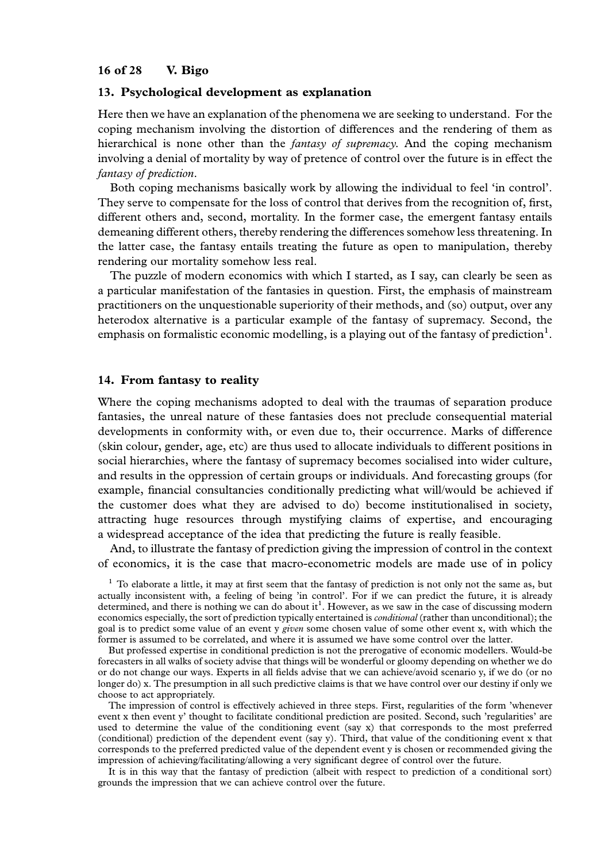#### 13. Psychological development as explanation

Here then we have an explanation of the phenomena we are seeking to understand. For the coping mechanism involving the distortion of differences and the rendering of them as hierarchical is none other than the *fantasy of supremacy*. And the coping mechanism involving a denial of mortality by way of pretence of control over the future is in effect the fantasy of prediction.

Both coping mechanisms basically work by allowing the individual to feel 'in control'. They serve to compensate for the loss of control that derives from the recognition of, first, different others and, second, mortality. In the former case, the emergent fantasy entails demeaning different others, thereby rendering the differences somehow less threatening. In the latter case, the fantasy entails treating the future as open to manipulation, thereby rendering our mortality somehow less real.

The puzzle of modern economics with which I started, as I say, can clearly be seen as a particular manifestation of the fantasies in question. First, the emphasis of mainstream practitioners on the unquestionable superiority of their methods, and (so) output, over any heterodox alternative is a particular example of the fantasy of supremacy. Second, the emphasis on formalistic economic modelling, is a playing out of the fantasy of prediction<sup>1</sup>.

#### 14. From fantasy to reality

Where the coping mechanisms adopted to deal with the traumas of separation produce fantasies, the unreal nature of these fantasies does not preclude consequential material developments in conformity with, or even due to, their occurrence. Marks of difference (skin colour, gender, age, etc) are thus used to allocate individuals to different positions in social hierarchies, where the fantasy of supremacy becomes socialised into wider culture, and results in the oppression of certain groups or individuals. And forecasting groups (for example, financial consultancies conditionally predicting what will/would be achieved if the customer does what they are advised to do) become institutionalised in society, attracting huge resources through mystifying claims of expertise, and encouraging a widespread acceptance of the idea that predicting the future is really feasible.

And, to illustrate the fantasy of prediction giving the impression of control in the context of economics, it is the case that macro-econometric models are made use of in policy

 $1$  To elaborate a little, it may at first seem that the fantasy of prediction is not only not the same as, but actually inconsistent with, a feeling of being 'in control'. For if we can predict the future, it is already determined, and there is nothing we can do about it<sup>1</sup>. However, as we saw in the case of discussing modern economics especially, the sort of prediction typically entertained is *conditional* (rather than unconditional); the goal is to predict some value of an event y *given* some chosen value of some other event x, with which the former is assumed to be correlated, and where it is assumed we have some control over the latter.

But professed expertise in conditional prediction is not the prerogative of economic modellers. Would-be forecasters in all walks of society advise that things will be wonderful or gloomy depending on whether we do or do not change our ways. Experts in all fields advise that we can achieve/avoid scenario y, if we do (or no longer do) x. The presumption in all such predictive claims is that we have control over our destiny if only we choose to act appropriately.

The impression of control is effectively achieved in three steps. First, regularities of the form 'whenever event x then event y' thought to facilitate conditional prediction are posited. Second, such 'regularities' are used to determine the value of the conditioning event (say x) that corresponds to the most preferred (conditional) prediction of the dependent event (say y). Third, that value of the conditioning event x that corresponds to the preferred predicted value of the dependent event y is chosen or recommended giving the impression of achieving/facilitating/allowing a very significant degree of control over the future.

It is in this way that the fantasy of prediction (albeit with respect to prediction of a conditional sort) grounds the impression that we can achieve control over the future.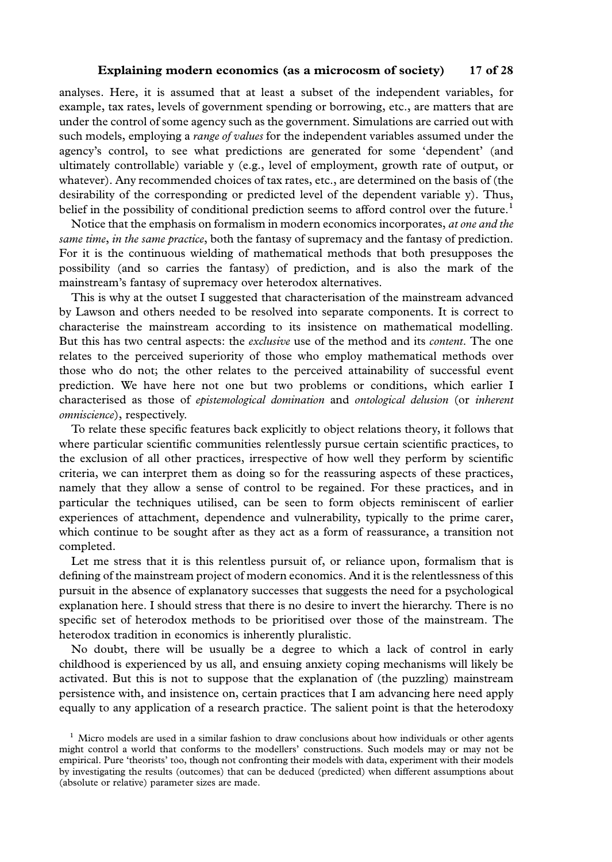#### Explaining modern economics (as a microcosm of society) 17 of 28

analyses. Here, it is assumed that at least a subset of the independent variables, for example, tax rates, levels of government spending or borrowing, etc., are matters that are under the control of some agency such as the government. Simulations are carried out with such models, employing a *range of values* for the independent variables assumed under the agency's control, to see what predictions are generated for some 'dependent' (and ultimately controllable) variable y (e.g., level of employment, growth rate of output, or whatever). Any recommended choices of tax rates, etc., are determined on the basis of (the desirability of the corresponding or predicted level of the dependent variable y). Thus, belief in the possibility of conditional prediction seems to afford control over the future.<sup>1</sup>

Notice that the emphasis on formalism in modern economics incorporates, *at one and the* same time, in the same practice, both the fantasy of supremacy and the fantasy of prediction. For it is the continuous wielding of mathematical methods that both presupposes the possibility (and so carries the fantasy) of prediction, and is also the mark of the mainstream's fantasy of supremacy over heterodox alternatives.

This is why at the outset I suggested that characterisation of the mainstream advanced by Lawson and others needed to be resolved into separate components. It is correct to characterise the mainstream according to its insistence on mathematical modelling. But this has two central aspects: the *exclusive* use of the method and its *content*. The one relates to the perceived superiority of those who employ mathematical methods over those who do not; the other relates to the perceived attainability of successful event prediction. We have here not one but two problems or conditions, which earlier I characterised as those of epistemological domination and ontological delusion (or inherent omniscience), respectively.

To relate these specific features back explicitly to object relations theory, it follows that where particular scientific communities relentlessly pursue certain scientific practices, to the exclusion of all other practices, irrespective of how well they perform by scientific criteria, we can interpret them as doing so for the reassuring aspects of these practices, namely that they allow a sense of control to be regained. For these practices, and in particular the techniques utilised, can be seen to form objects reminiscent of earlier experiences of attachment, dependence and vulnerability, typically to the prime carer, which continue to be sought after as they act as a form of reassurance, a transition not completed.

Let me stress that it is this relentless pursuit of, or reliance upon, formalism that is defining of the mainstream project of modern economics. And it is the relentlessness of this pursuit in the absence of explanatory successes that suggests the need for a psychological explanation here. I should stress that there is no desire to invert the hierarchy. There is no specific set of heterodox methods to be prioritised over those of the mainstream. The heterodox tradition in economics is inherently pluralistic.

No doubt, there will be usually be a degree to which a lack of control in early childhood is experienced by us all, and ensuing anxiety coping mechanisms will likely be activated. But this is not to suppose that the explanation of (the puzzling) mainstream persistence with, and insistence on, certain practices that I am advancing here need apply equally to any application of a research practice. The salient point is that the heterodoxy

 $<sup>1</sup>$  Micro models are used in a similar fashion to draw conclusions about how individuals or other agents</sup> might control a world that conforms to the modellers' constructions. Such models may or may not be empirical. Pure 'theorists' too, though not confronting their models with data, experiment with their models by investigating the results (outcomes) that can be deduced (predicted) when different assumptions about (absolute or relative) parameter sizes are made.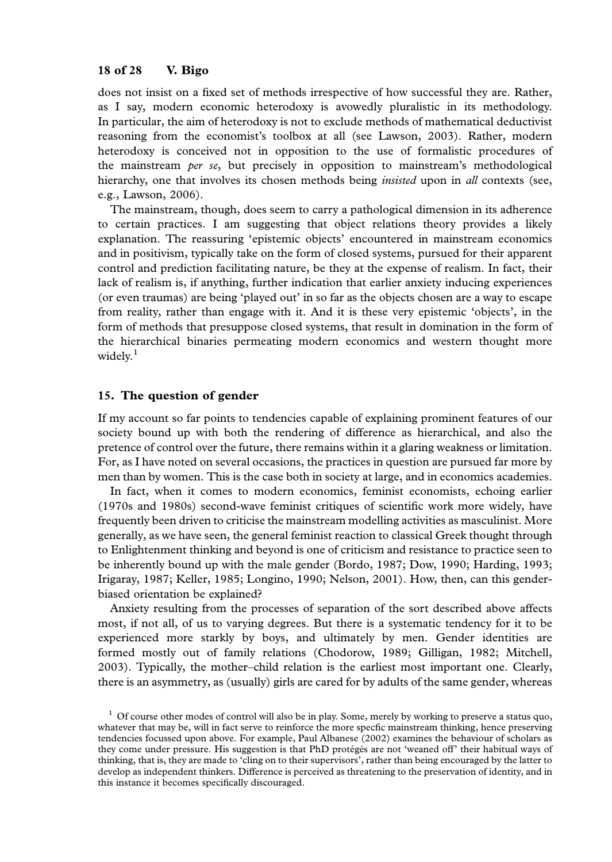does not insist on a fixed set of methods irrespective of how successful they are. Rather, as I say, modern economic heterodoxy is avowedly pluralistic in its methodology. In particular, the aim of heterodoxy is not to exclude methods of mathematical deductivist reasoning from the economist's toolbox at all (see Lawson, 2003). Rather, modern heterodoxy is conceived not in opposition to the use of formalistic procedures of the mainstream  $per$  se, but precisely in opposition to mainstream's methodological hierarchy, one that involves its chosen methods being *insisted* upon in *all* contexts (see, e.g., Lawson, 2006).

The mainstream, though, does seem to carry a pathological dimension in its adherence to certain practices. I am suggesting that object relations theory provides a likely explanation. The reassuring 'epistemic objects' encountered in mainstream economics and in positivism, typically take on the form of closed systems, pursued for their apparent control and prediction facilitating nature, be they at the expense of realism. In fact, their lack of realism is, if anything, further indication that earlier anxiety inducing experiences (or even traumas) are being 'played out' in so far as the objects chosen are a way to escape from reality, rather than engage with it. And it is these very epistemic 'objects', in the form of methods that presuppose closed systems, that result in domination in the form of the hierarchical binaries permeating modern economics and western thought more widely.<sup>1</sup>

#### 15. The question of gender

If my account so far points to tendencies capable of explaining prominent features of our society bound up with both the rendering of difference as hierarchical, and also the pretence of control over the future, there remains within it a glaring weakness or limitation. For, as I have noted on several occasions, the practices in question are pursued far more by men than by women. This is the case both in society at large, and in economics academies.

In fact, when it comes to modern economics, feminist economists, echoing earlier (1970s and 1980s) second-wave feminist critiques of scientific work more widely, have frequently been driven to criticise the mainstream modelling activities as masculinist. More generally, as we have seen, the general feminist reaction to classical Greek thought through to Enlightenment thinking and beyond is one of criticism and resistance to practice seen to be inherently bound up with the male gender (Bordo, 1987; Dow, 1990; Harding, 1993; Irigaray, 1987; Keller, 1985; Longino, 1990; Nelson, 2001). How, then, can this genderbiased orientation be explained?

Anxiety resulting from the processes of separation of the sort described above affects most, if not all, of us to varying degrees. But there is a systematic tendency for it to be experienced more starkly by boys, and ultimately by men. Gender identities are formed mostly out of family relations (Chodorow, 1989; Gilligan, 1982; Mitchell, 2003). Typically, the mother–child relation is the earliest most important one. Clearly, there is an asymmetry, as (usually) girls are cared for by adults of the same gender, whereas

 $1$  Of course other modes of control will also be in play. Some, merely by working to preserve a status quo, whatever that may be, will in fact serve to reinforce the more specfic mainstream thinking, hence preserving tendencies focussed upon above. For example, Paul Albanese (2002) examines the behaviour of scholars as they come under pressure. His suggestion is that PhD protégés are not 'weaned off' their habitual ways of thinking, that is, they are made to 'cling on to their supervisors', rather than being encouraged by the latter to develop as independent thinkers. Difference is perceived as threatening to the preservation of identity, and in this instance it becomes specifically discouraged.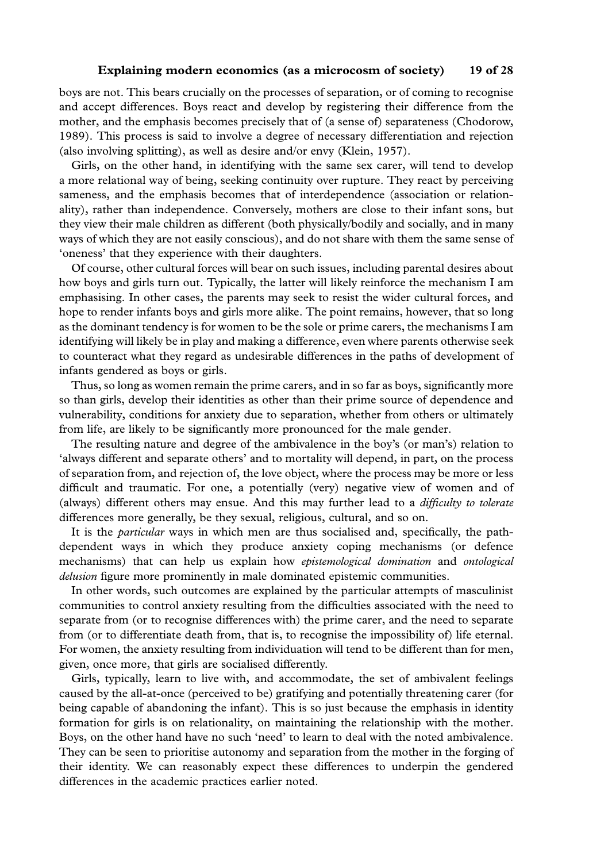#### Explaining modern economics (as a microcosm of society) 19 of 28

boys are not. This bears crucially on the processes of separation, or of coming to recognise and accept differences. Boys react and develop by registering their difference from the mother, and the emphasis becomes precisely that of (a sense of) separateness (Chodorow, 1989). This process is said to involve a degree of necessary differentiation and rejection (also involving splitting), as well as desire and/or envy (Klein, 1957).

Girls, on the other hand, in identifying with the same sex carer, will tend to develop a more relational way of being, seeking continuity over rupture. They react by perceiving sameness, and the emphasis becomes that of interdependence (association or relationality), rather than independence. Conversely, mothers are close to their infant sons, but they view their male children as different (both physically/bodily and socially, and in many ways of which they are not easily conscious), and do not share with them the same sense of 'oneness' that they experience with their daughters.

Of course, other cultural forces will bear on such issues, including parental desires about how boys and girls turn out. Typically, the latter will likely reinforce the mechanism I am emphasising. In other cases, the parents may seek to resist the wider cultural forces, and hope to render infants boys and girls more alike. The point remains, however, that so long as the dominant tendency is for women to be the sole or prime carers, the mechanisms I am identifying will likely be in play and making a difference, even where parents otherwise seek to counteract what they regard as undesirable differences in the paths of development of infants gendered as boys or girls.

Thus, so long as women remain the prime carers, and in so far as boys, significantly more so than girls, develop their identities as other than their prime source of dependence and vulnerability, conditions for anxiety due to separation, whether from others or ultimately from life, are likely to be significantly more pronounced for the male gender.

The resulting nature and degree of the ambivalence in the boy's (or man's) relation to 'always different and separate others' and to mortality will depend, in part, on the process of separation from, and rejection of, the love object, where the process may be more or less difficult and traumatic. For one, a potentially (very) negative view of women and of (always) different others may ensue. And this may further lead to a difficulty to tolerate differences more generally, be they sexual, religious, cultural, and so on.

It is the particular ways in which men are thus socialised and, specifically, the pathdependent ways in which they produce anxiety coping mechanisms (or defence mechanisms) that can help us explain how epistemological domination and ontological delusion figure more prominently in male dominated epistemic communities.

In other words, such outcomes are explained by the particular attempts of masculinist communities to control anxiety resulting from the difficulties associated with the need to separate from (or to recognise differences with) the prime carer, and the need to separate from (or to differentiate death from, that is, to recognise the impossibility of) life eternal. For women, the anxiety resulting from individuation will tend to be different than for men, given, once more, that girls are socialised differently.

Girls, typically, learn to live with, and accommodate, the set of ambivalent feelings caused by the all-at-once (perceived to be) gratifying and potentially threatening carer (for being capable of abandoning the infant). This is so just because the emphasis in identity formation for girls is on relationality, on maintaining the relationship with the mother. Boys, on the other hand have no such 'need' to learn to deal with the noted ambivalence. They can be seen to prioritise autonomy and separation from the mother in the forging of their identity. We can reasonably expect these differences to underpin the gendered differences in the academic practices earlier noted.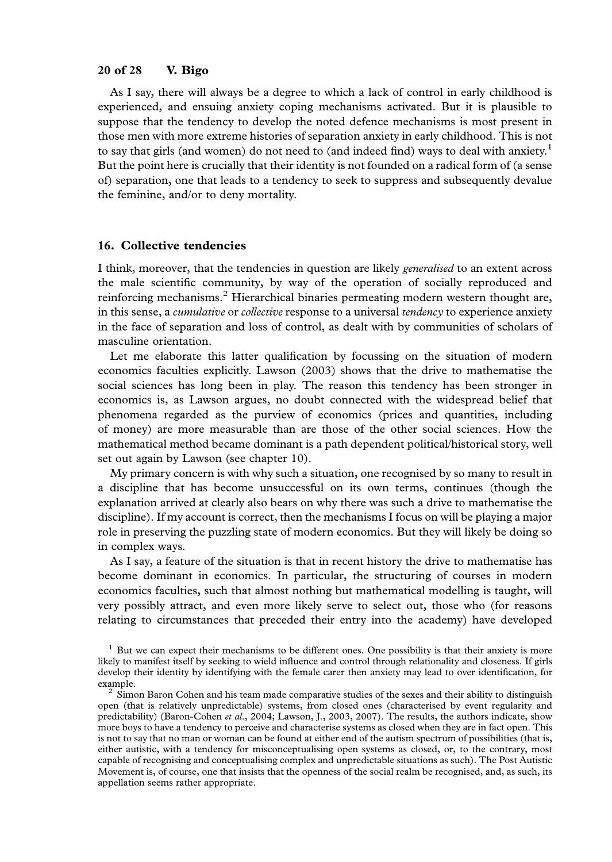As I say, there will always be a degree to which a lack of control in early childhood is experienced, and ensuing anxiety coping mechanisms activated. But it is plausible to suppose that the tendency to develop the noted defence mechanisms is most present in those men with more extreme histories of separation anxiety in early childhood. This is not to say that girls (and women) do not need to (and indeed find) ways to deal with anxiety.<sup>1</sup> But the point here is crucially that their identity is not founded on a radical form of (a sense of) separation, one that leads to a tendency to seek to suppress and subsequently devalue the feminine, and/or to deny mortality.

#### 16. Collective tendencies

I think, moreover, that the tendencies in question are likely *generalised* to an extent across the male scientific community, by way of the operation of socially reproduced and reinforcing mechanisms.<sup>2</sup> Hierarchical binaries permeating modern western thought are, in this sense, a *cumulative* or *collective* response to a universal *tendency* to experience anxiety in the face of separation and loss of control, as dealt with by communities of scholars of masculine orientation.

Let me elaborate this latter qualification by focussing on the situation of modern economics faculties explicitly. Lawson (2003) shows that the drive to mathematise the social sciences has long been in play. The reason this tendency has been stronger in economics is, as Lawson argues, no doubt connected with the widespread belief that phenomena regarded as the purview of economics (prices and quantities, including of money) are more measurable than are those of the other social sciences. How the mathematical method became dominant is a path dependent political/historical story, well set out again by Lawson (see chapter 10).

My primary concern is with why such a situation, one recognised by so many to result in a discipline that has become unsuccessful on its own terms, continues (though the explanation arrived at clearly also bears on why there was such a drive to mathematise the discipline). If my account is correct, then the mechanisms I focus on will be playing a major role in preserving the puzzling state of modern economics. But they will likely be doing so in complex ways.

As I say, a feature of the situation is that in recent history the drive to mathematise has become dominant in economics. In particular, the structuring of courses in modern economics faculties, such that almost nothing but mathematical modelling is taught, will very possibly attract, and even more likely serve to select out, those who (for reasons relating to circumstances that preceded their entry into the academy) have developed

 $1$  But we can expect their mechanisms to be different ones. One possibility is that their anxiety is more likely to manifest itself by seeking to wield influence and control through relationality and closeness. If girls develop their identity by identifying with the female carer then anxiety may lead to over identification, for

example.<br><sup>2</sup> Simon Baron Cohen and his team made comparative studies of the sexes and their ability to distinguish open (that is relatively unpredictable) systems, from closed ones (characterised by event regularity and predictability) (Baron-Cohen et al., 2004; Lawson, J., 2003, 2007). The results, the authors indicate, show more boys to have a tendency to perceive and characterise systems as closed when they are in fact open. This is not to say that no man or woman can be found at either end of the autism spectrum of possibilities (that is, either autistic, with a tendency for misconceptualising open systems as closed, or, to the contrary, most capable of recognising and conceptualising complex and unpredictable situations as such). The Post Autistic Movement is, of course, one that insists that the openness of the social realm be recognised, and, as such, its appellation seems rather appropriate.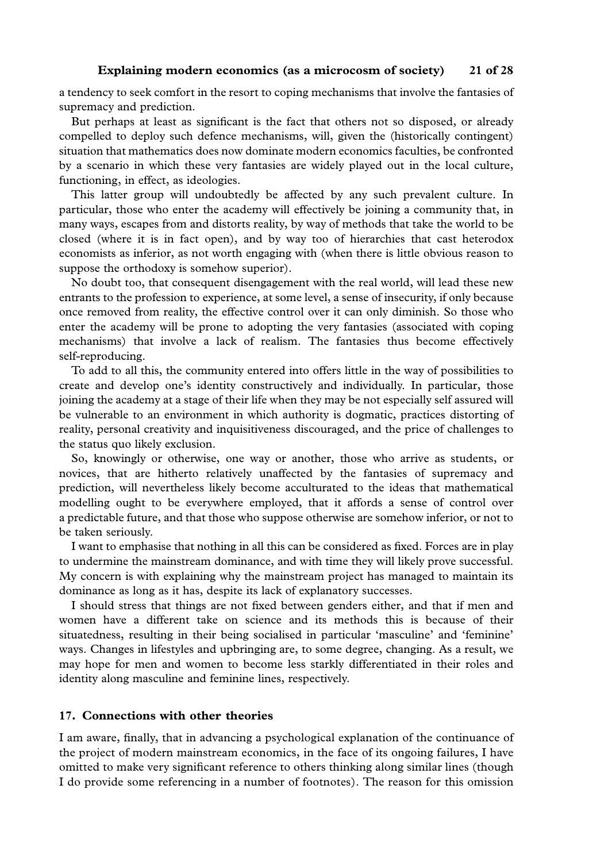## Explaining modern economics (as a microcosm of society) 21 of 28

a tendency to seek comfort in the resort to coping mechanisms that involve the fantasies of supremacy and prediction.

But perhaps at least as significant is the fact that others not so disposed, or already compelled to deploy such defence mechanisms, will, given the (historically contingent) situation that mathematics does now dominate modern economics faculties, be confronted by a scenario in which these very fantasies are widely played out in the local culture, functioning, in effect, as ideologies.

This latter group will undoubtedly be affected by any such prevalent culture. In particular, those who enter the academy will effectively be joining a community that, in many ways, escapes from and distorts reality, by way of methods that take the world to be closed (where it is in fact open), and by way too of hierarchies that cast heterodox economists as inferior, as not worth engaging with (when there is little obvious reason to suppose the orthodoxy is somehow superior).

No doubt too, that consequent disengagement with the real world, will lead these new entrants to the profession to experience, at some level, a sense of insecurity, if only because once removed from reality, the effective control over it can only diminish. So those who enter the academy will be prone to adopting the very fantasies (associated with coping mechanisms) that involve a lack of realism. The fantasies thus become effectively self-reproducing.

To add to all this, the community entered into offers little in the way of possibilities to create and develop one's identity constructively and individually. In particular, those joining the academy at a stage of their life when they may be not especially self assured will be vulnerable to an environment in which authority is dogmatic, practices distorting of reality, personal creativity and inquisitiveness discouraged, and the price of challenges to the status quo likely exclusion.

So, knowingly or otherwise, one way or another, those who arrive as students, or novices, that are hitherto relatively unaffected by the fantasies of supremacy and prediction, will nevertheless likely become acculturated to the ideas that mathematical modelling ought to be everywhere employed, that it affords a sense of control over a predictable future, and that those who suppose otherwise are somehow inferior, or not to be taken seriously.

I want to emphasise that nothing in all this can be considered as fixed. Forces are in play to undermine the mainstream dominance, and with time they will likely prove successful. My concern is with explaining why the mainstream project has managed to maintain its dominance as long as it has, despite its lack of explanatory successes.

I should stress that things are not fixed between genders either, and that if men and women have a different take on science and its methods this is because of their situatedness, resulting in their being socialised in particular 'masculine' and 'feminine' ways. Changes in lifestyles and upbringing are, to some degree, changing. As a result, we may hope for men and women to become less starkly differentiated in their roles and identity along masculine and feminine lines, respectively.

### 17. Connections with other theories

I am aware, finally, that in advancing a psychological explanation of the continuance of the project of modern mainstream economics, in the face of its ongoing failures, I have omitted to make very significant reference to others thinking along similar lines (though I do provide some referencing in a number of footnotes). The reason for this omission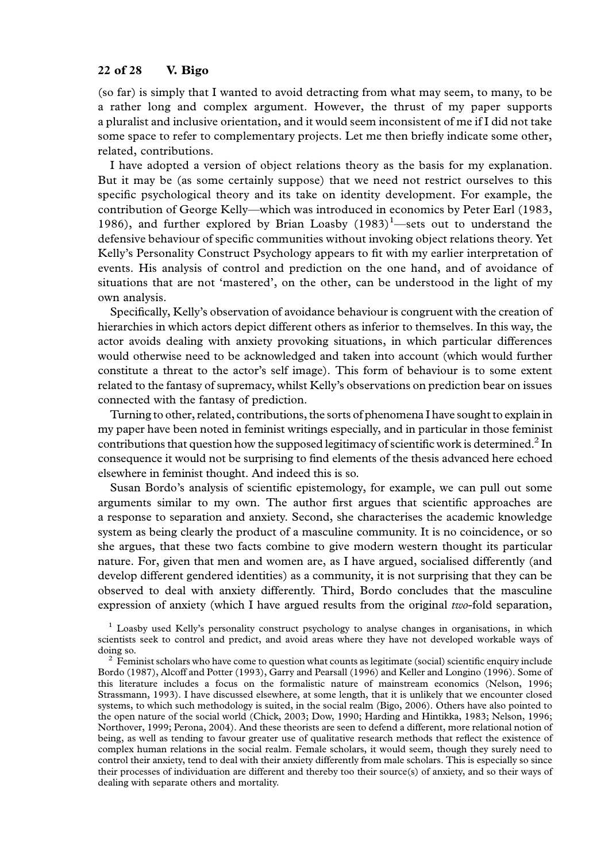(so far) is simply that I wanted to avoid detracting from what may seem, to many, to be a rather long and complex argument. However, the thrust of my paper supports a pluralist and inclusive orientation, and it would seem inconsistent of me if I did not take some space to refer to complementary projects. Let me then briefly indicate some other, related, contributions.

I have adopted a version of object relations theory as the basis for my explanation. But it may be (as some certainly suppose) that we need not restrict ourselves to this specific psychological theory and its take on identity development. For example, the contribution of George Kelly—which was introduced in economics by Peter Earl (1983, 1986), and further explored by Brian Loasby  $(1983)^{1}$ —sets out to understand the defensive behaviour of specific communities without invoking object relations theory. Yet Kelly's Personality Construct Psychology appears to fit with my earlier interpretation of events. His analysis of control and prediction on the one hand, and of avoidance of situations that are not 'mastered', on the other, can be understood in the light of my own analysis.

Specifically, Kelly's observation of avoidance behaviour is congruent with the creation of hierarchies in which actors depict different others as inferior to themselves. In this way, the actor avoids dealing with anxiety provoking situations, in which particular differences would otherwise need to be acknowledged and taken into account (which would further constitute a threat to the actor's self image). This form of behaviour is to some extent related to the fantasy of supremacy, whilst Kelly's observations on prediction bear on issues connected with the fantasy of prediction.

Turning to other, related, contributions, the sorts of phenomena I have sought to explain in my paper have been noted in feminist writings especially, and in particular in those feminist contributions that question how the supposed legitimacy of scientific work is determined.<sup>2</sup> In consequence it would not be surprising to find elements of the thesis advanced here echoed elsewhere in feminist thought. And indeed this is so.

Susan Bordo's analysis of scientific epistemology, for example, we can pull out some arguments similar to my own. The author first argues that scientific approaches are a response to separation and anxiety. Second, she characterises the academic knowledge system as being clearly the product of a masculine community. It is no coincidence, or so she argues, that these two facts combine to give modern western thought its particular nature. For, given that men and women are, as I have argued, socialised differently (and develop different gendered identities) as a community, it is not surprising that they can be observed to deal with anxiety differently. Third, Bordo concludes that the masculine expression of anxiety (which I have argued results from the original *two*-fold separation,

<sup>&</sup>lt;sup>1</sup> Loasby used Kelly's personality construct psychology to analyse changes in organisations, in which scientists seek to control and predict, and avoid areas where they have not developed workable ways of doing so.<br><sup>2</sup> Feminist scholars who have come to question what counts as legitimate (social) scientific enquiry include

Bordo (1987), Alcoff and Potter (1993), Garry and Pearsall (1996) and Keller and Longino (1996). Some of this literature includes a focus on the formalistic nature of mainstream economics (Nelson, 1996; Strassmann, 1993). I have discussed elsewhere, at some length, that it is unlikely that we encounter closed systems, to which such methodology is suited, in the social realm (Bigo, 2006). Others have also pointed to the open nature of the social world (Chick, 2003; Dow, 1990; Harding and Hintikka, 1983; Nelson, 1996; Northover, 1999; Perona, 2004). And these theorists are seen to defend a different, more relational notion of being, as well as tending to favour greater use of qualitative research methods that reflect the existence of complex human relations in the social realm. Female scholars, it would seem, though they surely need to control their anxiety, tend to deal with their anxiety differently from male scholars. This is especially so since their processes of individuation are different and thereby too their source(s) of anxiety, and so their ways of dealing with separate others and mortality.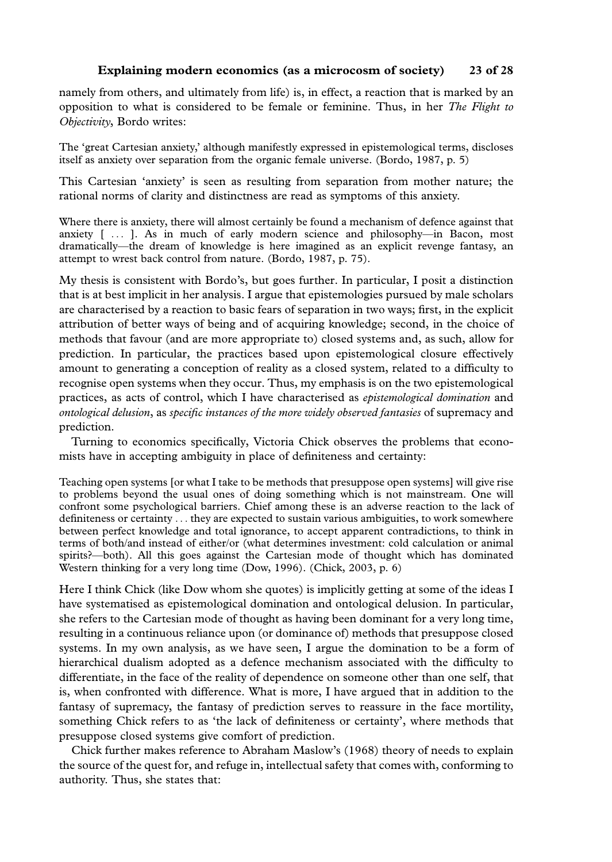# Explaining modern economics (as a microcosm of society) 23 of 28

namely from others, and ultimately from life) is, in effect, a reaction that is marked by an opposition to what is considered to be female or feminine. Thus, in her The Flight to Objectivity, Bordo writes:

The 'great Cartesian anxiety,' although manifestly expressed in epistemological terms, discloses itself as anxiety over separation from the organic female universe. (Bordo, 1987, p. 5)

This Cartesian 'anxiety' is seen as resulting from separation from mother nature; the rational norms of clarity and distinctness are read as symptoms of this anxiety.

Where there is anxiety, there will almost certainly be found a mechanism of defence against that anxiety  $[$  ... ]. As in much of early modern science and philosophy—in Bacon, most dramatically—the dream of knowledge is here imagined as an explicit revenge fantasy, an attempt to wrest back control from nature. (Bordo, 1987, p. 75).

My thesis is consistent with Bordo's, but goes further. In particular, I posit a distinction that is at best implicit in her analysis. I argue that epistemologies pursued by male scholars are characterised by a reaction to basic fears of separation in two ways; first, in the explicit attribution of better ways of being and of acquiring knowledge; second, in the choice of methods that favour (and are more appropriate to) closed systems and, as such, allow for prediction. In particular, the practices based upon epistemological closure effectively amount to generating a conception of reality as a closed system, related to a difficulty to recognise open systems when they occur. Thus, my emphasis is on the two epistemological practices, as acts of control, which I have characterised as epistemological domination and ontological delusion, as specific instances of the more widely observed fantasies of supremacy and prediction.

Turning to economics specifically, Victoria Chick observes the problems that economists have in accepting ambiguity in place of definiteness and certainty:

Teaching open systems [or what I take to be methods that presuppose open systems] will give rise to problems beyond the usual ones of doing something which is not mainstream. One will confront some psychological barriers. Chief among these is an adverse reaction to the lack of definiteness or certainty ... they are expected to sustain various ambiguities, to work somewhere between perfect knowledge and total ignorance, to accept apparent contradictions, to think in terms of both/and instead of either/or (what determines investment: cold calculation or animal spirits?—both). All this goes against the Cartesian mode of thought which has dominated Western thinking for a very long time (Dow, 1996). (Chick, 2003, p. 6)

Here I think Chick (like Dow whom she quotes) is implicitly getting at some of the ideas I have systematised as epistemological domination and ontological delusion. In particular, she refers to the Cartesian mode of thought as having been dominant for a very long time, resulting in a continuous reliance upon (or dominance of) methods that presuppose closed systems. In my own analysis, as we have seen, I argue the domination to be a form of hierarchical dualism adopted as a defence mechanism associated with the difficulty to differentiate, in the face of the reality of dependence on someone other than one self, that is, when confronted with difference. What is more, I have argued that in addition to the fantasy of supremacy, the fantasy of prediction serves to reassure in the face mortility, something Chick refers to as 'the lack of definiteness or certainty', where methods that presuppose closed systems give comfort of prediction.

Chick further makes reference to Abraham Maslow's (1968) theory of needs to explain the source of the quest for, and refuge in, intellectual safety that comes with, conforming to authority. Thus, she states that: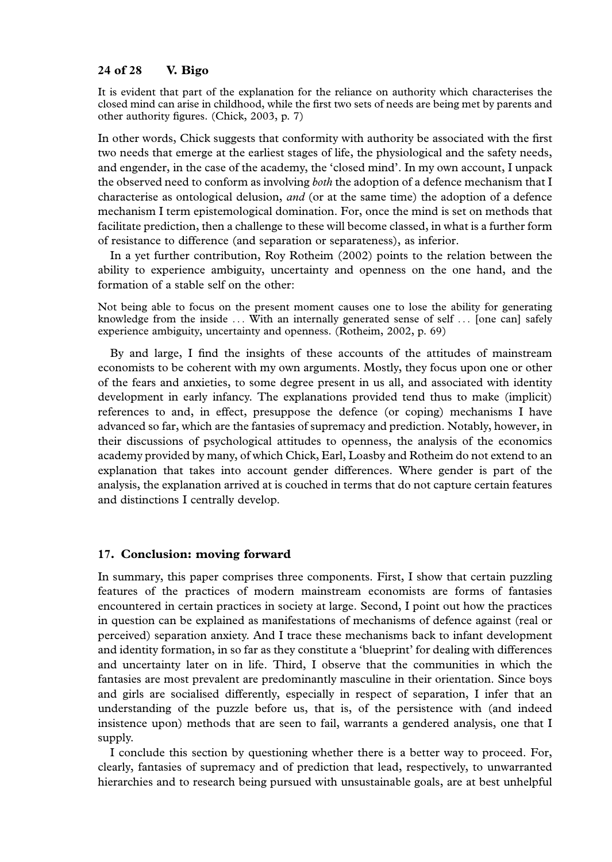It is evident that part of the explanation for the reliance on authority which characterises the closed mind can arise in childhood, while the first two sets of needs are being met by parents and other authority figures. (Chick, 2003, p. 7)

In other words, Chick suggests that conformity with authority be associated with the first two needs that emerge at the earliest stages of life, the physiological and the safety needs, and engender, in the case of the academy, the 'closed mind'. In my own account, I unpack the observed need to conform as involving both the adoption of a defence mechanism that I characterise as ontological delusion, and (or at the same time) the adoption of a defence mechanism I term epistemological domination. For, once the mind is set on methods that facilitate prediction, then a challenge to these will become classed, in what is a further form of resistance to difference (and separation or separateness), as inferior.

In a yet further contribution, Roy Rotheim (2002) points to the relation between the ability to experience ambiguity, uncertainty and openness on the one hand, and the formation of a stable self on the other:

Not being able to focus on the present moment causes one to lose the ability for generating knowledge from the inside ... With an internally generated sense of self ... [one can] safely experience ambiguity, uncertainty and openness. (Rotheim, 2002, p. 69)

By and large, I find the insights of these accounts of the attitudes of mainstream economists to be coherent with my own arguments. Mostly, they focus upon one or other of the fears and anxieties, to some degree present in us all, and associated with identity development in early infancy. The explanations provided tend thus to make (implicit) references to and, in effect, presuppose the defence (or coping) mechanisms I have advanced so far, which are the fantasies of supremacy and prediction. Notably, however, in their discussions of psychological attitudes to openness, the analysis of the economics academy provided by many, of which Chick, Earl, Loasby and Rotheim do not extend to an explanation that takes into account gender differences. Where gender is part of the analysis, the explanation arrived at is couched in terms that do not capture certain features and distinctions I centrally develop.

# 17. Conclusion: moving forward

In summary, this paper comprises three components. First, I show that certain puzzling features of the practices of modern mainstream economists are forms of fantasies encountered in certain practices in society at large. Second, I point out how the practices in question can be explained as manifestations of mechanisms of defence against (real or perceived) separation anxiety. And I trace these mechanisms back to infant development and identity formation, in so far as they constitute a 'blueprint' for dealing with differences and uncertainty later on in life. Third, I observe that the communities in which the fantasies are most prevalent are predominantly masculine in their orientation. Since boys and girls are socialised differently, especially in respect of separation, I infer that an understanding of the puzzle before us, that is, of the persistence with (and indeed insistence upon) methods that are seen to fail, warrants a gendered analysis, one that I supply.

I conclude this section by questioning whether there is a better way to proceed. For, clearly, fantasies of supremacy and of prediction that lead, respectively, to unwarranted hierarchies and to research being pursued with unsustainable goals, are at best unhelpful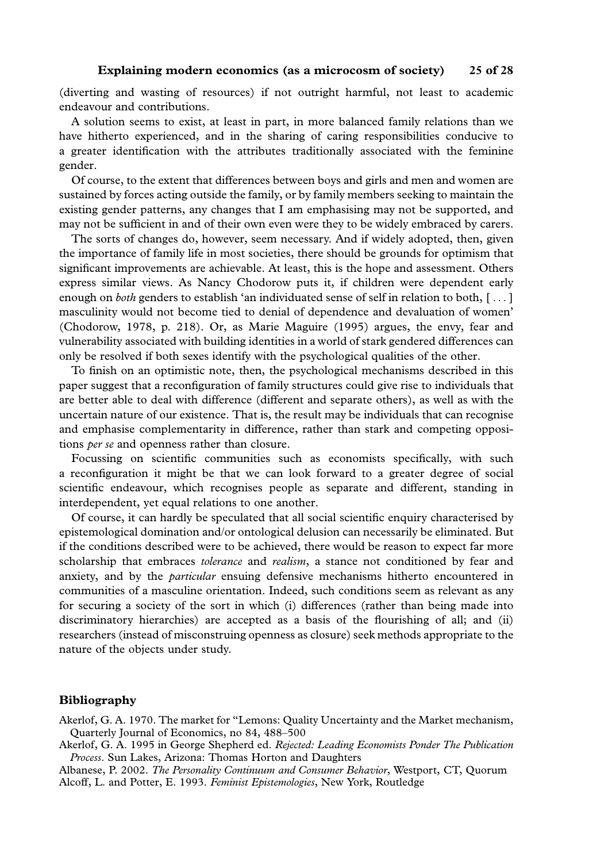#### Explaining modern economics (as a microcosm of society) 25 of 28

(diverting and wasting of resources) if not outright harmful, not least to academic endeavour and contributions.

A solution seems to exist, at least in part, in more balanced family relations than we have hitherto experienced, and in the sharing of caring responsibilities conducive to a greater identification with the attributes traditionally associated with the feminine gender.

Of course, to the extent that differences between boys and girls and men and women are sustained by forces acting outside the family, or by family members seeking to maintain the existing gender patterns, any changes that I am emphasising may not be supported, and may not be sufficient in and of their own even were they to be widely embraced by carers.

The sorts of changes do, however, seem necessary. And if widely adopted, then, given the importance of family life in most societies, there should be grounds for optimism that significant improvements are achievable. At least, this is the hope and assessment. Others express similar views. As Nancy Chodorow puts it, if children were dependent early enough on *both* genders to establish 'an individuated sense of self in relation to both, [...] masculinity would not become tied to denial of dependence and devaluation of women' (Chodorow, 1978, p. 218). Or, as Marie Maguire (1995) argues, the envy, fear and vulnerability associated with building identities in a world of stark gendered differences can only be resolved if both sexes identify with the psychological qualities of the other.

To finish on an optimistic note, then, the psychological mechanisms described in this paper suggest that a reconfiguration of family structures could give rise to individuals that are better able to deal with difference (different and separate others), as well as with the uncertain nature of our existence. That is, the result may be individuals that can recognise and emphasise complementarity in difference, rather than stark and competing oppositions per se and openness rather than closure.

Focussing on scientific communities such as economists specifically, with such a reconfiguration it might be that we can look forward to a greater degree of social scientific endeavour, which recognises people as separate and different, standing in interdependent, yet equal relations to one another.

Of course, it can hardly be speculated that all social scientific enquiry characterised by epistemological domination and/or ontological delusion can necessarily be eliminated. But if the conditions described were to be achieved, there would be reason to expect far more scholarship that embraces tolerance and realism, a stance not conditioned by fear and anxiety, and by the *particular* ensuing defensive mechanisms hitherto encountered in communities of a masculine orientation. Indeed, such conditions seem as relevant as any for securing a society of the sort in which (i) differences (rather than being made into discriminatory hierarchies) are accepted as a basis of the flourishing of all; and (ii) researchers (instead of misconstruing openness as closure) seek methods appropriate to the nature of the objects under study.

#### Bibliography

Akerlof, G. A. 1970. The market for ''Lemons: Quality Uncertainty and the Market mechanism, Quarterly Journal of Economics, no 84, 488–500

Akerlof, G. A. 1995 in George Shepherd ed. Rejected: Leading Economists Ponder The Publication Process. Sun Lakes, Arizona: Thomas Horton and Daughters

Albanese, P. 2002. The Personality Continuum and Consumer Behavior, Westport, CT, Quorum Alcoff, L. and Potter, E. 1993. Feminist Epistemologies, New York, Routledge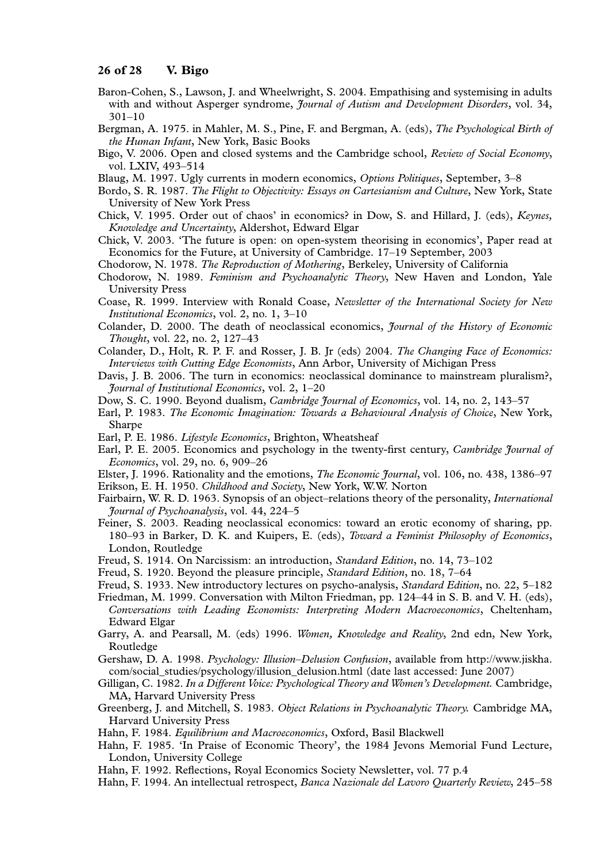- Baron-Cohen, S., Lawson, J. and Wheelwright, S. 2004. Empathising and systemising in adults with and without Asperger syndrome, *Journal of Autism and Development Disorders*, vol. 34, 301–10
- Bergman, A. 1975. in Mahler, M. S., Pine, F. and Bergman, A. (eds), The Psychological Birth of the Human Infant, New York, Basic Books
- Bigo, V. 2006. Open and closed systems and the Cambridge school, Review of Social Economy, vol. LXIV, 493–514
- Blaug, M. 1997. Ugly currents in modern economics, Options Politiques, September, 3–8
- Bordo, S. R. 1987. The Flight to Objectivity: Essays on Cartesianism and Culture, New York, State University of New York Press
- Chick, V. 1995. Order out of chaos' in economics? in Dow, S. and Hillard, J. (eds), Keynes, Knowledge and Uncertainty, Aldershot, Edward Elgar
- Chick, V. 2003. 'The future is open: on open-system theorising in economics', Paper read at Economics for the Future, at University of Cambridge. 17–19 September, 2003

Chodorow, N. 1978. The Reproduction of Mothering, Berkeley, University of California

- Chodorow, N. 1989. Feminism and Psychoanalytic Theory, New Haven and London, Yale University Press
- Coase, R. 1999. Interview with Ronald Coase, Newsletter of the International Society for New Institutional Economics, vol. 2, no. 1, 3–10
- Colander, D. 2000. The death of neoclassical economics, Journal of the History of Economic Thought, vol. 22, no. 2, 127–43
- Colander, D., Holt, R. P. F. and Rosser, J. B. Jr (eds) 2004. The Changing Face of Economics: Interviews with Cutting Edge Economists, Ann Arbor, University of Michigan Press
- Davis, J. B. 2006. The turn in economics: neoclassical dominance to mainstream pluralism?, Journal of Institutional Economics, vol. 2, 1–20
- Dow, S. C. 1990. Beyond dualism, Cambridge Journal of Economics, vol. 14, no. 2, 143-57
- Earl, P. 1983. The Economic Imagination: Towards a Behavioural Analysis of Choice, New York, Sharpe
- Earl, P. E. 1986. Lifestyle Economics, Brighton, Wheatsheaf
- Earl, P. E. 2005. Economics and psychology in the twenty-first century, *Cambridge Journal of* Economics, vol. 29, no. 6, 909–26
- Elster, J. 1996. Rationality and the emotions, *The Economic Journal*, vol. 106, no. 438, 1386–97
- Erikson, E. H. 1950. Childhood and Society, New York, W.W. Norton
- Fairbairn, W. R. D. 1963. Synopsis of an object–relations theory of the personality, *International* Journal of Psychoanalysis, vol. 44, 224–5
- Feiner, S. 2003. Reading neoclassical economics: toward an erotic economy of sharing, pp. 180–93 in Barker, D. K. and Kuipers, E. (eds), Toward a Feminist Philosophy of Economics, London, Routledge
- Freud, S. 1914. On Narcissism: an introduction, Standard Edition, no. 14, 73–102
- Freud, S. 1920. Beyond the pleasure principle, *Standard Edition*, no. 18, 7–64
- Freud, S. 1933. New introductory lectures on psycho-analysis, *Standard Edition*, no. 22, 5–182
- Friedman, M. 1999. Conversation with Milton Friedman, pp. 124–44 in S. B. and V. H. (eds), Conversations with Leading Economists: Interpreting Modern Macroeconomics, Cheltenham, Edward Elgar
- Garry, A. and Pearsall, M. (eds) 1996. *Women, Knowledge and Reality*, 2nd edn, New York, Routledge
- Gershaw, D. A. 1998. Psychology: Illusion–Delusion Confusion, available from http://www.jiskha. com/social\_studies/psychology/illusion\_delusion.html (date last accessed: June 2007)
- Gilligan, C. 1982. In a Different Voice: Psychological Theory and Women's Development. Cambridge, MA, Harvard University Press
- Greenberg, J. and Mitchell, S. 1983. Object Relations in Psychoanalytic Theory. Cambridge MA, Harvard University Press
- Hahn, F. 1984. Equilibrium and Macroeconomics, Oxford, Basil Blackwell
- Hahn, F. 1985. 'In Praise of Economic Theory', the 1984 Jevons Memorial Fund Lecture, London, University College
- Hahn, F. 1992. Reflections, Royal Economics Society Newsletter, vol. 77 p.4
- Hahn, F. 1994. An intellectual retrospect, Banca Nazionale del Lavoro Quarterly Review, 245–58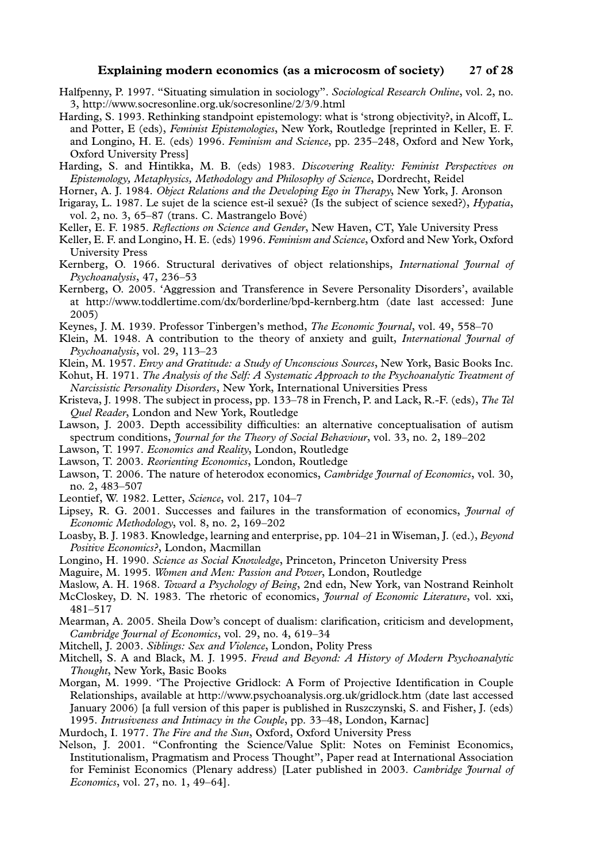#### Explaining modern economics (as a microcosm of society) 27 of 28

- Halfpenny, P. 1997. "Situating simulation in sociology". Sociological Research Online, vol. 2, no. 3, http://www.socresonline.org.uk/socresonline/2/3/9.html
- Harding, S. 1993. Rethinking standpoint epistemology: what is 'strong objectivity?, in Alcoff, L. and Potter, E (eds), *Feminist Epistemologies*, New York, Routledge [reprinted in Keller, E. F. and Longino, H. E. (eds) 1996. Feminism and Science, pp. 235–248, Oxford and New York, Oxford University Press]
- Harding, S. and Hintikka, M. B. (eds) 1983. Discovering Reality: Feminist Perspectives on Epistemology, Metaphysics, Methodology and Philosophy of Science, Dordrecht, Reidel
- Horner, A. J. 1984. Object Relations and the Developing Ego in Therapy, New York, J. Aronson
- Irigaray, L. 1987. Le sujet de la science est-il sexué? (Is the subject of science sexed?), *Hypatia*, vol. 2, no. 3, 65–87 (trans. C. Mastrangelo Bové)
- Keller, E. F. 1985. Reflections on Science and Gender, New Haven, CT, Yale University Press
- Keller, E. F. and Longino, H. E. (eds) 1996. Feminism and Science, Oxford and New York, Oxford University Press
- Kernberg, O. 1966. Structural derivatives of object relationships, *International Journal of* Psychoanalysis, 47, 236–53
- Kernberg, O. 2005. 'Aggression and Transference in Severe Personality Disorders', available at http://www.toddlertime.com/dx/borderline/bpd-kernberg.htm (date last accessed: June 2005)
- Keynes, J. M. 1939. Professor Tinbergen's method, The Economic Journal, vol. 49, 558-70
- Klein, M. 1948. A contribution to the theory of anxiety and guilt, *International Journal of* Psychoanalysis, vol. 29, 113–23
- Klein, M. 1957. Envy and Gratitude: a Study of Unconscious Sources, New York, Basic Books Inc.
- Kohut, H. 1971. The Analysis of the Self: A Systematic Approach to the Psychoanalytic Treatment of Narcissistic Personality Disorders, New York, International Universities Press
- Kristeva, J. 1998. The subject in process, pp. 133–78 in French, P. and Lack, R.-F. (eds), The Tel Quel Reader, London and New York, Routledge
- Lawson, J. 2003. Depth accessibility difficulties: an alternative conceptualisation of autism spectrum conditions, *Journal for the Theory of Social Behaviour*, vol. 33, no. 2, 189–202
- Lawson, T. 1997. Economics and Reality, London, Routledge
- Lawson, T. 2003. Reorienting Economics, London, Routledge
- Lawson, T. 2006. The nature of heterodox economics, *Cambridge Journal of Economics*, vol. 30, no. 2, 483–507
- Leontief, W. 1982. Letter, Science, vol. 217, 104–7
- Lipsey, R. G. 2001. Successes and failures in the transformation of economics, *Journal of* Economic Methodology, vol. 8, no. 2, 169–202
- Loasby, B. J. 1983. Knowledge, learning and enterprise, pp. 104–21 in Wiseman, J. (ed.), Beyond Positive Economics?, London, Macmillan
- Longino, H. 1990. Science as Social Knowledge, Princeton, Princeton University Press
- Maguire, M. 1995. Women and Men: Passion and Power, London, Routledge
- Maslow, A. H. 1968. Toward a Psychology of Being, 2nd edn, New York, van Nostrand Reinholt
- McCloskey, D. N. 1983. The rhetoric of economics, *Journal of Economic Literature*, vol. xxi, 481–517
- Mearman, A. 2005. Sheila Dow's concept of dualism: clarification, criticism and development, Cambridge Journal of Economics, vol. 29, no. 4, 619–34
- Mitchell, J. 2003. Siblings: Sex and Violence, London, Polity Press
- Mitchell, S. A and Black, M. J. 1995. Freud and Beyond: A History of Modern Psychoanalytic Thought, New York, Basic Books
- Morgan, M. 1999. 'The Projective Gridlock: A Form of Projective Identification in Couple Relationships, available at http://www.psychoanalysis.org.uk/gridlock.htm (date last accessed January 2006) [a full version of this paper is published in Ruszczynski, S. and Fisher, J. (eds) 1995. Intrusiveness and Intimacy in the Couple, pp. 33–48, London, Karnac]
- Murdoch, I. 1977. The Fire and the Sun, Oxford, Oxford University Press
- Nelson, J. 2001. ''Confronting the Science/Value Split: Notes on Feminist Economics, Institutionalism, Pragmatism and Process Thought'', Paper read at International Association for Feminist Economics (Plenary address) [Later published in 2003. Cambridge Journal of Economics, vol. 27, no. 1, 49–64].